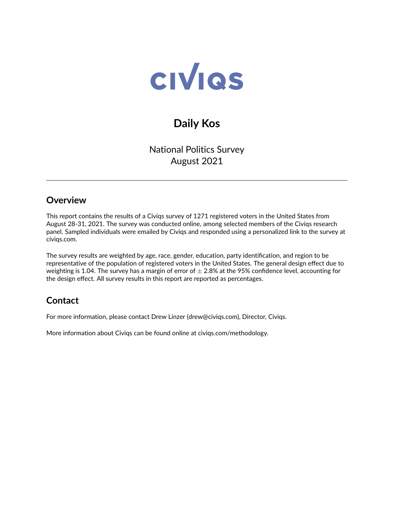

# **Daily Kos**

National Politics Survey August 2021

#### **Overview**

This report contains the results of a Civiqs survey of 1271 registered voters in the United States from August 28-31, 2021. The survey was conducted online, among selected members of the Civiqs research panel. Sampled individuals were emailed by Civiqs and responded using a personalized link to the survey at civiqs.com.

The survey results are weighted by age, race, gender, education, party identification, and region to be representative of the population of registered voters in the United States. The general design effect due to weighting is 1.04. The survey has a margin of error of  $\pm$  2.8% at the 95% confidence level, accounting for the design effect. All survey results in this report are reported as percentages.

## **Contact**

For more information, please contact Drew Linzer [\(drew@civiqs.com\)](mailto:drew@civiqs.com), Director, Civiqs.

More information about Civiqs can be found online at [civiqs.com/methodology.](https://civiqs.com/methodology)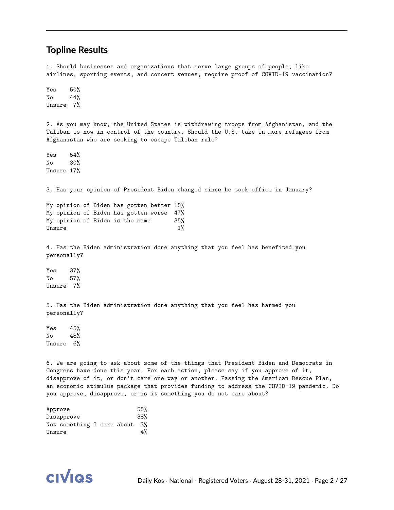#### **Topline Results**

1. Should businesses and organizations that serve large groups of people, like airlines, sporting events, and concert venues, require proof of COVID-19 vaccination? Yes 50% No 44% Unsure 7% 2. As you may know, the United States is withdrawing troops from Afghanistan, and the Taliban is now in control of the country. Should the U.S. take in more refugees from Afghanistan who are seeking to escape Taliban rule? Yes 54% No 30% Unsure 17% 3. Has your opinion of President Biden changed since he took office in January? My opinion of Biden has gotten better 18% My opinion of Biden has gotten worse 47% My opinion of Biden is the same 35% Unsure  $1\%$ 4. Has the Biden administration done anything that you feel has benefited you personally? Yes 37% No 57% Unsure 7% 5. Has the Biden administration done anything that you feel has harmed you personally? Yes 45% No 48% Unsure 6% 6. We are going to ask about some of the things that President Biden and Democrats in Congress have done this year. For each action, please say if you approve of it, disapprove of it, or don't care one way or another. Passing the American Rescue Plan, an economic stimulus package that provides funding to address the COVID-19 pandemic. Do you approve, disapprove, or is it something you do not care about?

| Approve |                               |  | 55% |
|---------|-------------------------------|--|-----|
|         | Disapprove                    |  | 38% |
|         | Not something I care about 3% |  |     |
| Unsure  |                               |  | 4%  |

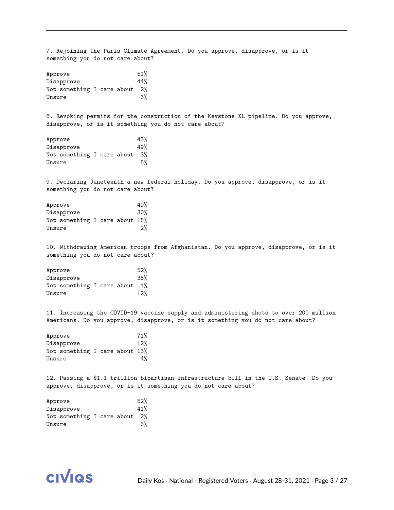7. Rejoining the Paris Climate Agreement. Do you approve, disapprove, or is it something you do not care about? Approve 51% Disapprove 44% Not something I care about 2% Unsure 3% 8. Revoking permits for the construction of the Keystone XL pipeline. Do you approve, disapprove, or is it something you do not care about? Approve 43% Disapprove 49% Not something I care about 3% Unsure 5% 9. Declaring Juneteenth a new federal holiday. Do you approve, disapprove, or is it something you do not care about? Approve 49% Disapprove 30% Not something I care about 18% Unsure 2% 10. Withdrawing American troops from Afghanistan. Do you approve, disapprove, or is it something you do not care about? Approve 52% Disapprove 35% Not something I care about 1% Unsure 12% 11. Increasing the COVID-19 vaccine supply and administering shots to over 200 million Americans. Do you approve, disapprove, or is it something you do not care about? Approve 71% Disapprove 12% Not something I care about 13% Unsure 4% 12. Passing a \$1.1 trillion bipartisan infrastructure bill in the U.S. Senate. Do you approve, disapprove, or is it something you do not care about? Approve 52% Disapprove 41% Not something I care about 2% Unsure 6%

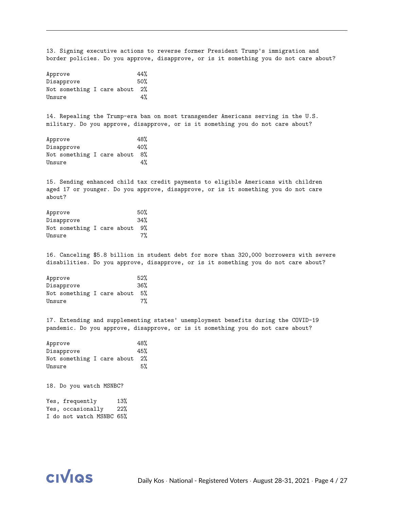13. Signing executive actions to reverse former President Trump's immigration and border policies. Do you approve, disapprove, or is it something you do not care about?

| 44%<br>Approve |                            |  |  |  |                 |  |  |  |  |  |  |  |
|----------------|----------------------------|--|--|--|-----------------|--|--|--|--|--|--|--|
|                | Disapprove                 |  |  |  | 50 <sup>%</sup> |  |  |  |  |  |  |  |
|                | Not something I care about |  |  |  | 2%              |  |  |  |  |  |  |  |
| Unsure         |                            |  |  |  | 4%              |  |  |  |  |  |  |  |

14. Repealing the Trump-era ban on most transgender Americans serving in the U.S. military. Do you approve, disapprove, or is it something you do not care about?

|        | Approve                       |  |  |  | 48%             |  |  |  |  |
|--------|-------------------------------|--|--|--|-----------------|--|--|--|--|
|        | Disapprove                    |  |  |  | 40 <sup>%</sup> |  |  |  |  |
|        | Not something I care about 8% |  |  |  |                 |  |  |  |  |
| Unsure |                               |  |  |  |                 |  |  |  |  |

15. Sending enhanced child tax credit payments to eligible Americans with children aged 17 or younger. Do you approve, disapprove, or is it something you do not care about?

| 50%<br>Approve |                            |  |  |  |     |  |  |  |  |
|----------------|----------------------------|--|--|--|-----|--|--|--|--|
|                | Disapprove                 |  |  |  | 34% |  |  |  |  |
|                | Not something I care about |  |  |  | 9%  |  |  |  |  |
| Unsure         |                            |  |  |  | 7%  |  |  |  |  |

16. Canceling \$5.8 billion in student debt for more than 320,000 borrowers with severe disabilities. Do you approve, disapprove, or is it something you do not care about?

|        | Approve                    |  |  |  | 52% |  |  |  |  |
|--------|----------------------------|--|--|--|-----|--|--|--|--|
|        | Disapprove                 |  |  |  | 36% |  |  |  |  |
|        | Not something I care about |  |  |  | .5% |  |  |  |  |
| Unsure |                            |  |  |  |     |  |  |  |  |

17. Extending and supplementing states' unemployment benefits during the COVID-19 pandemic. Do you approve, disapprove, or is it something you do not care about?

| 48%<br>Approve |                            |  |  |  |       |  |  |  |  |  |  |
|----------------|----------------------------|--|--|--|-------|--|--|--|--|--|--|
|                | Disapprove                 |  |  |  | 45%   |  |  |  |  |  |  |
|                | Not something I care about |  |  |  | $2\%$ |  |  |  |  |  |  |
| Unsure         |                            |  |  |  | 5%    |  |  |  |  |  |  |

18. Do you watch MSNBC?

Yes, frequently 13% Yes, occasionally 22% I do not watch MSNBC 65%

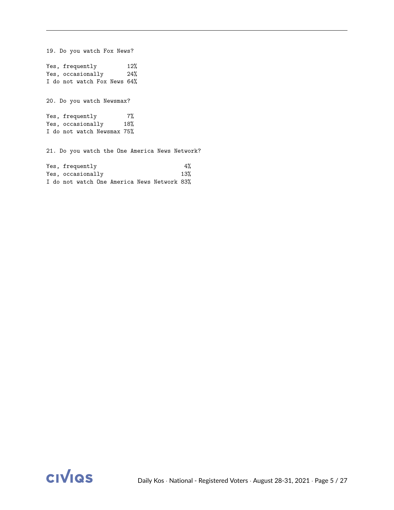19. Do you watch Fox News? Yes, frequently 12%<br>Yes, occasionally 24% Yes, occasionally I do not watch Fox News 64% 20. Do you watch Newsmax? Yes, frequently 7% Yes, occasionally 18% I do not watch Newsmax 75% 21. Do you watch the One America News Network? Yes, frequently  $4\%$ 

Yes, occasionally 13% I do not watch One America News Network 83%

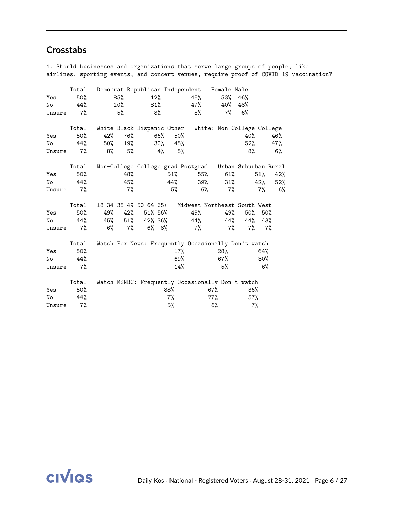## **Crosstabs**

1. Should businesses and organizations that serve large groups of people, like airlines, sporting events, and concert venues, require proof of COVID-19 vaccination?

|        | Total | Democrat Republican Independent |       |                   |        |        |     | Female Male                                            |     |        |       |
|--------|-------|---------------------------------|-------|-------------------|--------|--------|-----|--------------------------------------------------------|-----|--------|-------|
| Yes    | 50%   | 85%                             |       |                   | $12\%$ |        | 45% | 53%                                                    | 46% |        |       |
| No     | 44%   | 10%                             |       |                   | 81%    |        | 47% | 40%                                                    | 48% |        |       |
| Unsure | 7%    |                                 | 5%    |                   | 8%     |        | 8%  | 7%                                                     | 6%  |        |       |
|        |       |                                 |       |                   |        |        |     |                                                        |     |        |       |
|        | Total | White Black Hispanic Other      |       |                   |        |        |     | White: Non-College College                             |     |        |       |
| Yes    | 50%   | 42%                             | 76%   |                   | 66%    | 50%    |     |                                                        | 40% |        | 46%   |
| No     | 44%   | 50%                             | 19%   |                   | 30%    | 45%    |     |                                                        | 52% |        | 47%   |
| Unsure | $7\%$ | 8%                              | 5%    |                   | 4%     | 5%     |     |                                                        | 8%  |        | $6\%$ |
|        | Total |                                 |       |                   |        |        |     | Non-College College grad Postgrad Urban Suburban Rural |     |        |       |
| Yes    | 50%   |                                 | 48%   |                   |        | $51\%$ | 55% | 61%                                                    |     | 51%    | 42%   |
| No     | 44%   |                                 | 45%   |                   |        | 44%    | 39% | $31\%$                                                 |     | 42%    | 52%   |
| Unsure | $7\%$ |                                 | $7\%$ |                   |        | 5%     | 6%  |                                                        | 7%  | $7\%$  | 6%    |
|        |       |                                 |       |                   |        |        |     |                                                        |     |        |       |
|        | Total | 18-34 35-49 50-64 65+           |       |                   |        |        |     | Midwest Northeast South West                           |     |        |       |
| Yes    | 50%   | 49%                             |       | 42% 51% 56%       |        |        | 49% | 49%                                                    | 50% | 50%    |       |
| No     | 44%   | 45%                             |       | $51\%$ $42\%$ 36% |        |        | 44% | 44%                                                    | 44% | 43%    |       |
| Unsure | 7%    | $6\%$                           | $7\%$ |                   | 6% 8%  |        | 7%  | $7\%$                                                  | 7%  | 7%     |       |
|        | Total |                                 |       |                   |        |        |     | Watch Fox News: Frequently Occasionally Don't watch    |     |        |       |
| Yes    | 50%   |                                 |       |                   |        | 17%    |     | 28%                                                    |     | 64%    |       |
| No     | 44%   |                                 |       |                   |        | 69%    |     | 67%                                                    |     | $30\%$ |       |
| Unsure | 7%    |                                 |       |                   |        | 14%    |     | 5%                                                     |     | 6%     |       |
|        |       |                                 |       |                   |        |        |     |                                                        |     |        |       |
|        | Total |                                 |       |                   |        |        |     | Watch MSNBC: Frequently Occasionally Don't watch       |     |        |       |
| Yes    | 50%   |                                 |       |                   |        | 88%    |     | 67%                                                    | 36% |        |       |
| No     | 44%   |                                 |       |                   |        | $7\%$  |     | $27\%$                                                 | 57% |        |       |
| Unsure | 7%    |                                 |       |                   |        | 5%     |     | $6\%$                                                  | 7%  |        |       |

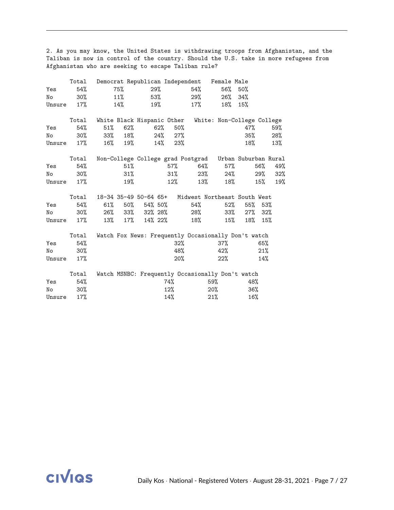2. As you may know, the United States is withdrawing troops from Afghanistan, and the Taliban is now in control of the country. Should the U.S. take in more refugees from Afghanistan who are seeking to escape Taliban rule?

|        | Total  |     |        |                    |     |        |     | Democrat Republican Independent Female Male            |         |     |     |
|--------|--------|-----|--------|--------------------|-----|--------|-----|--------------------------------------------------------|---------|-----|-----|
| Yes    | 54%    |     | 75%    |                    | 29% |        | 54% |                                                        | 56% 50% |     |     |
| No     | $30\%$ |     | 11%    |                    | 53% |        | 29% | 26%                                                    | 34%     |     |     |
| Unsure | 17%    |     | 14%    |                    | 19% |        | 17% | 18%                                                    | 15%     |     |     |
|        | Total  |     |        |                    |     |        |     | White Black Hispanic Other White: Non-College College  |         |     |     |
| Yes    | 54%    | 51% | 62%    |                    | 62% | $50\%$ |     |                                                        | 47%     |     | 59% |
| No     | $30\%$ | 33% | 18%    |                    | 24% | 27%    |     |                                                        | $35\%$  |     | 28% |
| Unsure | 17%    | 16% | 19%    |                    | 14% | 23%    |     |                                                        | 18%     |     | 13% |
|        | Total  |     |        |                    |     |        |     | Non-College College grad Postgrad Urban Suburban Rural |         |     |     |
| Yes    | 54%    |     | 51%    |                    |     | 57%    |     | 64%<br>57%                                             |         | 56% | 49% |
| No     | $30\%$ |     | $31\%$ |                    |     | $31\%$ |     | 23%<br>24%                                             |         | 29% | 32% |
| Unsure | 17%    |     | 19%    |                    |     | $12\%$ | 13% | 18%                                                    |         | 15% | 19% |
|        |        |     |        |                    |     |        |     |                                                        |         |     |     |
|        | Total  |     |        |                    |     |        |     | 18-34 35-49 50-64 65+ Midwest Northeast South West     |         |     |     |
| Yes    | 54%    | 61% |        | $50\%$ 54% $50\%$  |     |        | 54% | 52%                                                    | 55%     | 53% |     |
| No     | $30\%$ | 26% |        | 33% 32% 28%        |     |        | 28% | 33%                                                    | $27\%$  | 32% |     |
| Unsure | 17%    | 13% |        | $17\%$ $14\%$ 22\% |     |        | 18% | $15\%$                                                 | 18%     | 15% |     |
|        | Total  |     |        |                    |     |        |     | Watch Fox News: Frequently Occasionally Don't watch    |         |     |     |
| Yes    | 54%    |     |        |                    |     | $32\%$ |     | $37\%$                                                 |         | 65% |     |
| No     | $30\%$ |     |        |                    |     | 48%    |     | 42%                                                    |         | 21% |     |
| Unsure | 17%    |     |        |                    |     | $20\%$ |     | 22%                                                    |         | 14% |     |
|        | Total  |     |        |                    |     |        |     | Watch MSNBC: Frequently Occasionally Don't watch       |         |     |     |
| Yes    | 54%    |     |        |                    |     | 74%    |     | 59%                                                    | 48%     |     |     |
| No     | $30\%$ |     |        |                    |     | $12\%$ |     | $20\%$                                                 | 36%     |     |     |
| Unsure | 17%    |     |        |                    |     | 14%    |     | 21%                                                    | 16%     |     |     |

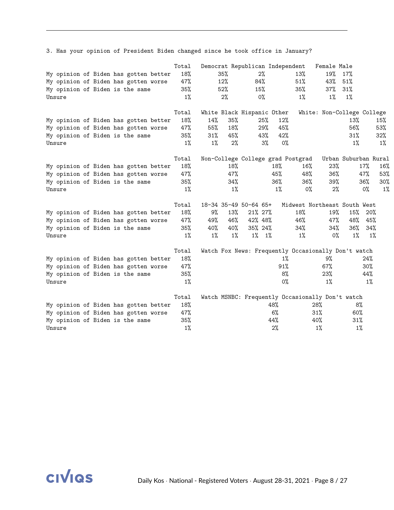3. Has your opinion of President Biden changed since he took office in January?

| Unsure |  | My opinion of Biden has gotten better<br>My opinion of Biden has gotten worse<br>My opinion of Biden is the same | Total<br>18%<br>47%<br>35%<br>$1\%$ |                               | 35%<br>12%<br>52%<br>2%    | 84%<br>15%                                             | 2%<br>0%                   | Democrat Republican Independent<br>13%<br>51%<br>35%<br>$1\%$                | Female Male<br>19%<br>43%<br>37%<br>$1\%$ | 17%<br>51%<br>31%<br>$1\%$ |                            |                            |
|--------|--|------------------------------------------------------------------------------------------------------------------|-------------------------------------|-------------------------------|----------------------------|--------------------------------------------------------|----------------------------|------------------------------------------------------------------------------|-------------------------------------------|----------------------------|----------------------------|----------------------------|
| Unsure |  | My opinion of Biden has gotten better<br>My opinion of Biden has gotten worse<br>My opinion of Biden is the same | Total<br>18%<br>47%<br>35%<br>$1\%$ | 14%<br>55%<br>$31\%$<br>$1\%$ | 35%<br>18%<br>45%<br>$2\%$ | White Black Hispanic Other                             | 25%<br>29%<br>43%<br>3%    | 12%<br>45%<br>42%<br>0%                                                      | White: Non-College College                | 13%<br>56%<br>31%<br>$1\%$ |                            | 15%<br>53%<br>32%<br>$1\%$ |
| Unsure |  | My opinion of Biden has gotten better<br>My opinion of Biden has gotten worse<br>My opinion of Biden is the same | Total<br>18%<br>47%<br>35%<br>1%    |                               | 18%<br>47%<br>34%<br>$1\%$ |                                                        | 18%<br>45%<br>36%<br>$1\%$ | Non-College College grad Postgrad<br>16%<br>48%<br>36%<br>$0\%$              | 23%<br>36%<br>39%<br>2%                   | Urban Suburban Rural       | 17%<br>47%<br>36%<br>$0\%$ | 16%<br>53%<br>$30\%$<br>1% |
| Unsure |  | My opinion of Biden has gotten better<br>My opinion of Biden has gotten worse<br>My opinion of Biden is the same | Total<br>18%<br>47%<br>35%<br>1%    | 9%<br>49%<br>40%<br>$1\%$     | 13%<br>46%<br>40%<br>1%    | 18-34 35-49 50-64 65+<br>21% 27%<br>42% 48%<br>35% 24% | $1\%$ $1\%$                | Midwest Northeast South West<br>18%<br>46%<br>34%<br>1%                      | 19%<br>47%<br>34%<br>$0\%$                | 15%<br>48%<br>36%<br>$1\%$ | 20%<br>45%<br>34%<br>1%    |                            |
| Unsure |  | My opinion of Biden has gotten better<br>My opinion of Biden has gotten worse<br>My opinion of Biden is the same | Total<br>18%<br>47%<br>35%<br>1%    |                               |                            |                                                        |                            | Watch Fox News: Frequently Occasionally Don't watch<br>1%<br>91%<br>8%<br>0% | 9%<br>67%<br>23%<br>1%                    |                            | 24%<br>30%<br>44%<br>$1\%$ |                            |
| Unsure |  | My opinion of Biden has gotten better<br>My opinion of Biden has gotten worse<br>My opinion of Biden is the same | Total<br>18%<br>47%<br>35%<br>$1\%$ |                               |                            |                                                        | 48%<br>6%<br>44%<br>$2\%$  | Watch MSNBC: Frequently Occasionally Don't watch                             | 28%<br>31%<br>40%<br>$1\%$                | 8%<br>60%<br>31%<br>$1\%$  |                            |                            |

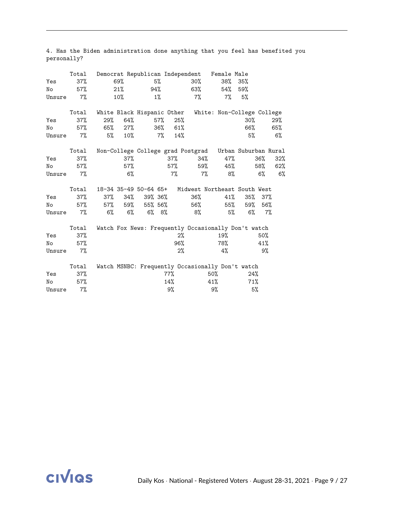|        | Total |     |        |                            |         |        | Democrat Republican Independent | Female Male                                            |               |        |     |
|--------|-------|-----|--------|----------------------------|---------|--------|---------------------------------|--------------------------------------------------------|---------------|--------|-----|
| Yes    | 37%   |     | 69%    |                            | 5%      |        | $30\%$                          |                                                        | $38\%$ $35\%$ |        |     |
| No     | 57%   |     | 21%    |                            | 94%     |        | 63%                             | 54%                                                    | 59%           |        |     |
| Unsure | $7\%$ |     | 10%    |                            | $1\%$   |        | 7%                              | 7%                                                     | 5%            |        |     |
|        | Total |     |        | White Black Hispanic Other |         |        |                                 | White: Non-College College                             |               |        |     |
| Yes    | 37%   | 29% | 64%    |                            | 57%     | 25%    |                                 |                                                        | $30\%$        |        | 29% |
| No     | 57%   | 65% | $27\%$ |                            | 36%     | 61%    |                                 |                                                        | 66%           |        | 65% |
| Unsure | 7%    | 5%  | $10\%$ |                            | 7%      | 14%    |                                 |                                                        | 5%            |        | 6%  |
|        | Total |     |        |                            |         |        |                                 | Non-College College grad Postgrad Urban Suburban Rural |               |        |     |
| Yes    | 37%   |     | $37\%$ |                            |         | 37%    | 34%                             | 47%                                                    |               | 36%    | 32% |
| No     | 57%   |     | 57%    |                            |         | 57%    | 59%                             | 45%                                                    |               | 58%    | 62% |
| Unsure | 7%    |     | $6\%$  |                            |         | $7\%$  | $7\%$                           | 8%                                                     |               | 6%     | 6%  |
|        | Total |     |        |                            |         |        |                                 | 18-34 35-49 50-64 65+ Midwest Northeast South West     |               |        |     |
| Yes    | 37%   | 37% | 34%    |                            | 39% 36% |        | 36%                             | 41%                                                    | 35%           | $37\%$ |     |
| No     | 57%   |     |        | $57\%$ 59% 55% 56%         |         |        | 56%                             | 55%                                                    | 59%           | 56%    |     |
| Unsure | 7%    | 6%  | $6\%$  |                            | 6% 8%   |        | 8%                              | 5%                                                     | 6%            | 7%     |     |
|        | Total |     |        |                            |         |        |                                 | Watch Fox News: Frequently Occasionally Don't watch    |               |        |     |
| Yes    | 37%   |     |        |                            |         | $2\%$  |                                 | 19%                                                    |               | 50%    |     |
| No     | 57%   |     |        |                            |         | 96%    |                                 | 78%                                                    |               | 41%    |     |
| Unsure | $7\%$ |     |        |                            |         | 2%     |                                 | 4%                                                     |               | 9%     |     |
|        | Total |     |        |                            |         |        |                                 | Watch MSNBC: Frequently Occasionally Don't watch       |               |        |     |
| Yes    | 37%   |     |        |                            |         | $77\%$ |                                 | 50%                                                    | 24%           |        |     |
| No     | 57%   |     |        |                            |         | 14%    |                                 | 41%                                                    | 71%           |        |     |
| Unsure | 7%    |     |        |                            |         | 9%     |                                 | 9%                                                     | 5%            |        |     |

4. Has the Biden administration done anything that you feel has benefited you personally?

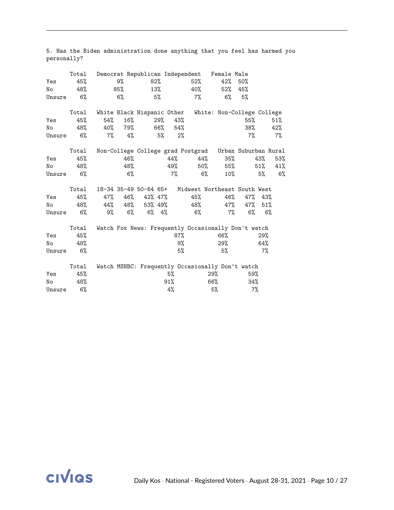|        | Total |                            |     |                 |             |     | Democrat Republican Independent | Female Male                                            |          |       |     |
|--------|-------|----------------------------|-----|-----------------|-------------|-----|---------------------------------|--------------------------------------------------------|----------|-------|-----|
| Yes    | 45%   |                            | 9%  |                 | 82%         |     | 52%                             | 42%                                                    | 50%      |       |     |
| No     | 48%   |                            | 85% |                 | 13%         |     | 40%                             | 52%                                                    | 45%      |       |     |
| Unsure | 6%    |                            | 6%  |                 | 5%          |     | 7%                              | 6%                                                     | 5%       |       |     |
|        | Total | White Black Hispanic Other |     |                 |             |     |                                 | White: Non-College College                             |          |       |     |
| Yes    | 45%   | 54%                        | 16% |                 | 29%         | 43% |                                 |                                                        | 55%      |       | 51% |
| No     | 48%   | 40%                        | 79% |                 | 66%         | 54% |                                 |                                                        | 38%      |       | 42% |
| Unsure | $6\%$ | 7%                         | 4%  |                 | 5%          | 2%  |                                 |                                                        | 7%       |       | 7%  |
|        | Total |                            |     |                 |             |     |                                 | Non-College College grad Postgrad Urban Suburban Rural |          |       |     |
| Yes    | 45%   |                            | 46% |                 |             | 44% | 44%                             | 35%                                                    |          | 43%   | 53% |
| No     | 48%   |                            | 48% |                 |             | 49% |                                 | 55%<br>50%                                             |          | 51%   | 41% |
| Unsure | 6%    |                            | 6%  |                 |             | 7%  | 6%                              | 10%                                                    |          | 5%    | 6%  |
|        |       |                            |     |                 |             |     |                                 |                                                        |          |       |     |
|        | Total |                            |     |                 |             |     |                                 | 18-34 35-49 50-64 65+ Midwest Northeast South West     |          |       |     |
| Yes    | 45%   | 47%                        | 46% | 42% 47%         |             |     | 45%                             | 46%                                                    | 47%      | 43%   |     |
| No     | 48%   |                            |     | 44% 48% 53% 49% |             |     | 48%                             | 47%                                                    | 47%      | 51%   |     |
| Unsure | $6\%$ | 9%                         | 6%  |                 | $6\%$ $4\%$ |     | 6%                              |                                                        | 7%<br>6% | $6\%$ |     |
|        | Total |                            |     |                 |             |     |                                 | Watch Fox News: Frequently Occasionally Don't watch    |          |       |     |
| Yes    | 45%   |                            |     |                 |             | 87% |                                 | 66%                                                    |          | 29%   |     |
| No     | 48%   |                            |     |                 |             |     | 8%                              | 29%                                                    |          | 64%   |     |
| Unsure | 6%    |                            |     |                 |             | 5%  |                                 | 5%                                                     |          | $7\%$ |     |
|        | Total |                            |     |                 |             |     |                                 | Watch MSNBC: Frequently Occasionally Don't watch       |          |       |     |
| Yes    | 45%   |                            |     |                 |             | 5%  |                                 | 29%                                                    | 59%      |       |     |
| No     | 48%   |                            |     |                 |             | 91% |                                 | 66%                                                    | 34%      |       |     |
| Unsure | 6%    |                            |     |                 |             | 4%  |                                 | 5%                                                     | $7\%$    |       |     |

5. Has the Biden administration done anything that you feel has harmed you personally?

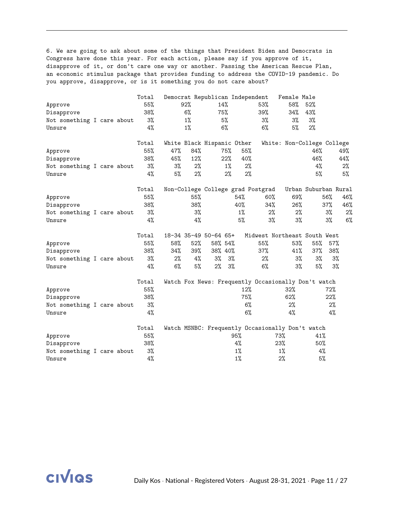6. We are going to ask about some of the things that President Biden and Democrats in Congress have done this year. For each action, please say if you approve of it, disapprove of it, or don't care one way or another. Passing the American Rescue Plan, an economic stimulus package that provides funding to address the COVID-19 pandemic. Do you approve, disapprove, or is it something you do not care about?

|                            |  | Total |     |       | Democrat Republican Independent |       |       |                                                     | Female Male |                      |     |       |
|----------------------------|--|-------|-----|-------|---------------------------------|-------|-------|-----------------------------------------------------|-------------|----------------------|-----|-------|
| Approve                    |  | 55%   |     | 92%   |                                 | 14%   |       | 53%                                                 | 58%         | 52%                  |     |       |
| Disapprove                 |  | 38%   |     | 6%    |                                 | 75%   |       | 39%                                                 | 34%         | 43%                  |     |       |
| Not something I care about |  | 3%    |     | $1\%$ |                                 | 5%    |       | 3%                                                  | 3%          | 3%                   |     |       |
| Unsure                     |  | 4%    |     | $1\%$ |                                 | 6%    |       | 6%                                                  | 5%          | 2%                   |     |       |
|                            |  | Total |     |       | White Black Hispanic Other      |       |       | White: Non-College College                          |             |                      |     |       |
| Approve                    |  | 55%   | 47% | 84%   |                                 | 75%   | 55%   |                                                     |             | 46%                  |     | 49%   |
| Disapprove                 |  | 38%   | 45% | 12%   |                                 | 22%   | 40%   |                                                     |             | 46%                  |     | 44%   |
| Not something I care about |  | 3%    | 3%  | 2%    |                                 | $1\%$ | 2%    |                                                     |             | 4%                   |     | $2\%$ |
| Unsure                     |  | 4%    | 5%  | 2%    |                                 | 2%    | $2\%$ |                                                     |             | 5%                   |     | 5%    |
|                            |  | Total |     |       |                                 |       |       | Non-College College grad Postgrad                   |             | Urban Suburban Rural |     |       |
| Approve                    |  | 55%   |     | 55%   |                                 |       | 54%   | 60%                                                 | 69%         |                      | 56% | 46%   |
| Disapprove                 |  | 38%   |     | 38%   |                                 |       | 40%   | 34%                                                 | 26%         |                      | 37% | 46%   |
| Not something I care about |  | 3%    |     | 3%    |                                 |       | $1\%$ | 2%                                                  | 2%          |                      | 3%  | 2%    |
| Unsure                     |  | 4%    |     | 4%    |                                 |       | 5%    | $3\%$                                               | 3%          |                      | 3%  | 6%    |
|                            |  | Total |     |       | 18-34 35-49 50-64 65+           |       |       | Midwest Northeast South West                        |             |                      |     |       |
| Approve                    |  | 55%   | 58% | 52%   | 58% 54%                         |       |       | 55%                                                 | 53%         | 55%                  | 57% |       |
| Disapprove                 |  | 38%   | 34% | 39%   | 38% 40%                         |       |       | 37%                                                 | 41%         | 37%                  | 38% |       |
| Not something I care about |  | 3%    | 2%  | 4%    | 3%                              | $3\%$ |       | 2%                                                  | 3%          | 3%                   | 3%  |       |
| Unsure                     |  | 4%    | 6%  | 5%    | 2%                              | 3%    |       | 6%                                                  | $3\%$       | 5%                   | 3%  |       |
|                            |  | Total |     |       |                                 |       |       | Watch Fox News: Frequently Occasionally Don't watch |             |                      |     |       |
| Approve                    |  | 55%   |     |       |                                 |       | 12%   |                                                     | 32%         |                      | 72% |       |
| Disapprove                 |  | 38%   |     |       |                                 |       | 75%   |                                                     | 62%         |                      | 22% |       |
| Not something I care about |  | 3%    |     |       |                                 |       | 6%    |                                                     | 2%          |                      | 2%  |       |
| Unsure                     |  | 4%    |     |       |                                 |       | 6%    |                                                     | 4%          |                      | 4%  |       |
|                            |  | Total |     |       |                                 |       |       | Watch MSNBC: Frequently Occasionally Don't watch    |             |                      |     |       |
| Approve                    |  | 55%   |     |       |                                 |       | 95%   | 73%                                                 |             | 41%                  |     |       |
| Disapprove                 |  | 38%   |     |       |                                 |       | 4%    | 23%                                                 |             | 50%                  |     |       |
| Not something I care about |  | 3%    |     |       |                                 |       | $1\%$ |                                                     | 1%          | 4%                   |     |       |
| Unsure                     |  | 4%    |     |       |                                 |       | $1\%$ | 2%                                                  |             | 5%                   |     |       |

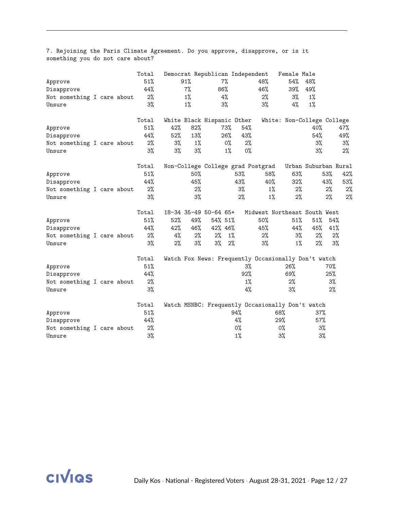| Approve<br>Disapprove<br>Not something I care about<br>Unsure |  | Total<br>51%<br>44%<br>2%<br>3% |                                                            | 91%<br>$7\%$<br>$1\%$<br>$1\%$ |                | 7%<br>86%<br>4%<br>$3\%$          |                              | Democrat Republican Independent | 48%<br>46%<br>2%<br>3%                                            | Female Male<br>54%<br>39%<br>3%<br>4%                                            | 48%<br>49%<br>1%<br>$1\%$ |                              |                        |
|---------------------------------------------------------------|--|---------------------------------|------------------------------------------------------------|--------------------------------|----------------|-----------------------------------|------------------------------|---------------------------------|-------------------------------------------------------------------|----------------------------------------------------------------------------------|---------------------------|------------------------------|------------------------|
| Approve<br>Disapprove<br>Not something I care about<br>Unsure |  | Total<br>51%<br>44%<br>2%<br>3% | White Black Hispanic Other<br>42%<br>52%<br>$3\%$<br>$3\%$ | 82%<br>13%                     | $1\%$<br>$3\%$ |                                   | 73%<br>26%<br>$0\%$<br>$1\%$ | 54%<br>43%<br>2%<br>0%          |                                                                   | White: Non-College College                                                       | 40%<br>54%<br>3%<br>3%    |                              | 47%<br>49%<br>3%<br>2% |
| Approve<br>Disapprove<br>Not something I care about<br>Unsure |  | Total<br>51%<br>44%<br>2%<br>3% |                                                            | 50%<br>45%                     | 2%<br>3%       |                                   |                              | 53%<br>43%<br>3%<br>2%          | Non-College College grad Postgrad<br>58%<br>40%<br>$1\%$<br>$1\%$ | 63%<br>32%<br>2%<br>2%                                                           | Urban Suburban Rural      | 53%<br>43%<br>2%<br>$2\%$    | 42%<br>53%<br>2%<br>2% |
| Approve<br>Disapprove<br>Not something I care about<br>Unsure |  | Total<br>51%<br>44%<br>2%<br>3% | 18-34 35-49 50-64 65+<br>52%<br>42%<br>4%<br>2%            | 49%<br>46%                     | 2%<br>$3\%$    | 54% 51%<br>42% 46%<br>2%<br>$3\%$ | $1\%$<br>2%                  |                                 | 50%<br>45%<br>2%<br>3%                                            | Midwest Northeast South West<br>51%<br>44%<br>$3\%$<br>$1\%$                     | 51%<br>45%<br>$2\%$<br>2% | 54%<br>41%<br>2%<br>3%       |                        |
| Approve<br>Disapprove<br>Not something I care about<br>Unsure |  | Total<br>51%<br>44%<br>2%<br>3% |                                                            |                                |                |                                   |                              | 3%<br>92%<br>$1\%$<br>$4\%$     |                                                                   | Watch Fox News: Frequently Occasionally Don't watch<br>26%<br>69%<br>2%<br>$3\%$ |                           | 70%<br>25%<br>$3\%$<br>$2\%$ |                        |
| Approve<br>Disapprove<br>Not something I care about<br>Unsure |  | Total<br>51%<br>44%<br>2%<br>3% |                                                            |                                |                |                                   |                              | 94%<br>4%<br>0%<br>$1\%$        |                                                                   | Watch MSNBC: Frequently Occasionally Don't watch<br>68%<br>29%<br>0%<br>3%       | 37%<br>57%<br>3%<br>3%    |                              |                        |

7. Rejoining the Paris Climate Agreement. Do you approve, disapprove, or is it something you do not care about?

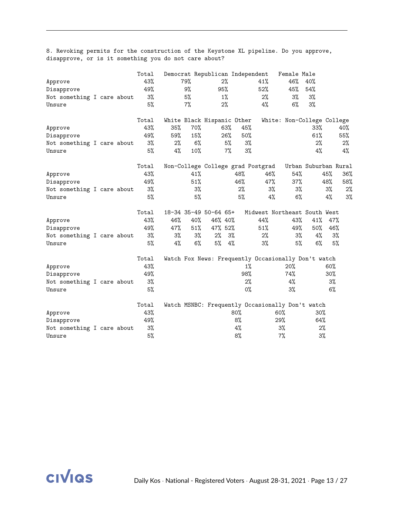| Approve<br>Disapprove<br>Not something I care about<br>Unsure |  | Total<br>43%<br>49%<br>3%<br>5%    |                        | 79%<br>9%<br>5%<br>$7\%$ | Democrat Republican Independent<br>95%                  | 2%<br>$1\%$<br>$2\%$     |                          | 41%<br>52%<br>2%<br>4% | Female Male<br>46%<br>45%<br>3%<br>6%                     | 40%<br>54%<br>3%<br>3%       |                           |                           |
|---------------------------------------------------------------|--|------------------------------------|------------------------|--------------------------|---------------------------------------------------------|--------------------------|--------------------------|------------------------|-----------------------------------------------------------|------------------------------|---------------------------|---------------------------|
| Approve<br>Disapprove<br>Not something I care about<br>Unsure |  | Total<br>43%<br>49%<br>3%<br>5%    | 35%<br>59%<br>2%<br>4% | 70%<br>15%<br>6%<br>10%  | White Black Hispanic Other                              | 63%<br>26%<br>5%<br>7%   | 45%<br>50%<br>3%<br>3%   |                        | White: Non-College College                                | 33%<br>61%<br>2%<br>4%       |                           | 40%<br>55%<br>$2\%$<br>4% |
| Approve<br>Disapprove<br>Not something I care about<br>Unsure |  | Total<br>43%<br>49%<br>3%<br>5%    |                        | 41%<br>51%<br>3%<br>5%   | Non-College College grad Postgrad                       |                          | 48%<br>46%<br>2%<br>5%   | 46%<br>47%<br>3%<br>4% | 54%<br>37%<br>3%<br>$6\%$                                 | Urban Suburban Rural         | 45%<br>48%<br>$3\%$<br>4% | 36%<br>58%<br>2%<br>3%    |
| Approve<br>Disapprove<br>Not something I care about<br>Unsure |  | Total<br>43%<br>49%<br>3%<br>5%    | 46%<br>47%<br>3%<br>4% | 40%<br>51%<br>3%<br>6%   | 18-34 35-49 50-64 65+<br>46% 40%<br>47% 52%<br>2%<br>5% | 3%<br>4%                 |                          | 44%<br>51%<br>2%<br>3% | Midwest Northeast South West<br>43%<br>49%<br>$3\%$<br>5% | 41%<br>50%<br>4%<br>$6\%$    | 47%<br>46%<br>3%<br>5%    |                           |
| Approve<br>Disapprove<br>Not something I care about<br>Unsure |  | Total<br>43%<br>49%<br>3%<br>5%    |                        |                          | Watch Fox News: Frequently Occasionally Don't watch     |                          | 1%<br>98%<br>2%<br>$0\%$ |                        | 20%<br>74%<br>4%<br>$3\%$                                 |                              | 60%<br>30%<br>$3\%$<br>6% |                           |
| Approve<br>Disapprove<br>Not something I care about<br>Unsure |  | Total<br>43%<br>49%<br>$3\%$<br>5% |                        |                          | Watch MSNBC: Frequently Occasionally Don't watch        | 80%<br>8%<br>$4\%$<br>8% |                          |                        | 60%<br>29%<br>$3\%$<br>7%                                 | $30\%$<br>64%<br>$2\%$<br>3% |                           |                           |

8. Revoking permits for the construction of the Keystone XL pipeline. Do you approve, disapprove, or is it something you do not care about?

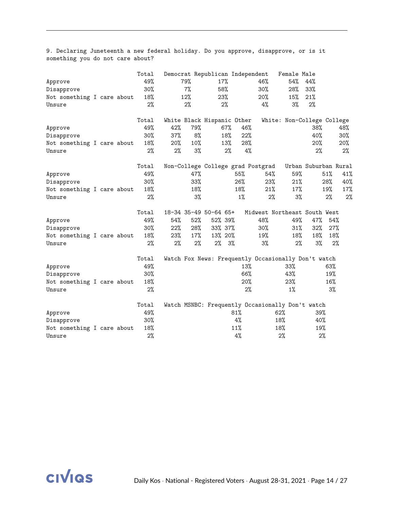| Approve<br>Disapprove<br>Not something I care about<br>Unsure |  | Total<br>49%<br>$30\%$<br>18%<br>2% |                            | 79%<br>7%<br>12%<br>$2\%$ | Democrat Republican Independent                              | 17%<br>58%<br>23%<br>2% |                           | 46%<br>30%<br>20%<br>4%                                      | Female Male<br>54%<br>28%<br>15%<br>$3\%$                                         | 44%<br>33%<br>21%<br>2%    |                         |                            |
|---------------------------------------------------------------|--|-------------------------------------|----------------------------|---------------------------|--------------------------------------------------------------|-------------------------|---------------------------|--------------------------------------------------------------|-----------------------------------------------------------------------------------|----------------------------|-------------------------|----------------------------|
| Approve<br>Disapprove<br>Not something I care about<br>Unsure |  | Total<br>49%<br>$30\%$<br>18%<br>2% | 42%<br>37%<br>20%<br>2%    | 79%<br>8%<br>10%<br>3%    | White Black Hispanic Other                                   | 67%<br>18%<br>13%<br>2% | 46%<br>22%<br>28%<br>4%   |                                                              | White: Non-College College                                                        | 38%<br>40%<br>20%<br>2%    |                         | 48%<br>$30\%$<br>20%<br>2% |
| Approve<br>Disapprove<br>Not something I care about<br>Unsure |  | Total<br>49%<br>30%<br>18%<br>2%    |                            | 47%<br>33%<br>18%<br>3%   |                                                              |                         | 55%<br>26%<br>18%<br>1%   | Non-College College grad Postgrad<br>54%<br>23%<br>21%<br>2% | 59%<br>21%<br>17%<br>3%                                                           | Urban Suburban Rural       | 51%<br>28%<br>19%<br>2% | 41%<br>40%<br>17%<br>2%    |
| Approve<br>Disapprove<br>Not something I care about<br>Unsure |  | Total<br>49%<br>30%<br>18%<br>2%    | 54%<br>22%<br>23%<br>$2\%$ | 52%<br>28%<br>17%<br>2%   | 18-34 35-49 50-64 65+<br>52% 39%<br>33% 37%<br>13% 20%<br>2% | 3%                      |                           | 48%<br>30%<br>19%<br>3%                                      | Midwest Northeast South West<br>49%<br>31%<br>18%<br>2%                           | 47%<br>32%<br>18%<br>$3\%$ | 54%<br>27%<br>18%<br>2% |                            |
| Approve<br>Disapprove<br>Not something I care about<br>Unsure |  | Total<br>49%<br>30%<br>18%<br>2%    |                            |                           |                                                              |                         | 13%<br>66%<br>20%<br>2%   |                                                              | Watch Fox News: Frequently Occasionally Don't watch<br>33%<br>43%<br>23%<br>$1\%$ |                            | 63%<br>19%<br>16%<br>3% |                            |
| Approve<br>Disapprove<br>Not something I care about<br>Unsure |  | Total<br>49%<br>30%<br>18%<br>2%    |                            |                           |                                                              |                         | $81\%$<br>4%<br>11%<br>4% |                                                              | Watch MSNBC: Frequently Occasionally Don't watch<br>62%<br>18%<br>18%<br>2%       | 39%<br>40%<br>19%<br>2%    |                         |                            |

9. Declaring Juneteenth a new federal holiday. Do you approve, disapprove, or is it something you do not care about?

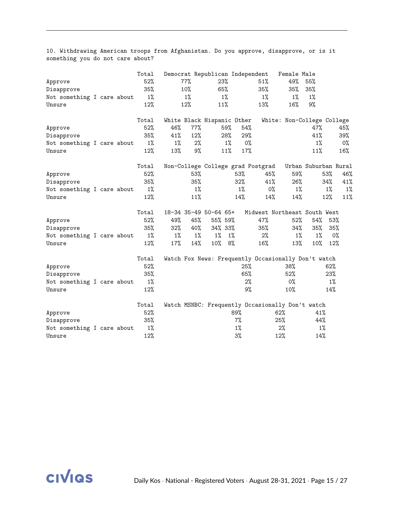|                            |  | Total |       |       | Democrat Republican Independent   |       |       |                                                     | Female Male                |                      |       |       |
|----------------------------|--|-------|-------|-------|-----------------------------------|-------|-------|-----------------------------------------------------|----------------------------|----------------------|-------|-------|
| Approve                    |  | 52%   |       | 77%   | 23%                               |       |       | 51%                                                 | 49%                        | 55%                  |       |       |
| Disapprove                 |  | 35%   |       | 10%   | 65%                               |       |       | 35%                                                 | 35%                        | 35%                  |       |       |
| Not something I care about |  | $1\%$ |       | $1\%$ | $1\%$                             |       |       | $1\%$                                               | $1\%$                      | 1%                   |       |       |
| Unsure                     |  | 12%   |       | 12%   | 11%                               |       |       | 13%                                                 | 16%                        | 9%                   |       |       |
|                            |  | Total |       |       | White Black Hispanic Other        |       |       |                                                     | White: Non-College College |                      |       |       |
| Approve                    |  | 52%   | 46%   | 77%   |                                   | 59%   | 54%   |                                                     |                            | 47%                  |       | 45%   |
| Disapprove                 |  | 35%   | 41%   | 12%   |                                   | 28%   | 29%   |                                                     |                            | 41%                  |       | 39%   |
| Not something I care about |  | $1\%$ | $1\%$ | $2\%$ |                                   | $1\%$ | 0%    |                                                     |                            | $1\%$                |       | 0%    |
| Unsure                     |  | 12%   | 13%   | 9%    |                                   | 11%   | 17%   |                                                     |                            | 11%                  |       | 16%   |
|                            |  | Total |       |       | Non-College College grad Postgrad |       |       |                                                     |                            | Urban Suburban Rural |       |       |
| Approve                    |  | 52%   |       | 53%   |                                   |       | 53%   | 45%                                                 | 59%                        |                      | 53%   | 46%   |
| Disapprove                 |  | 35%   |       | 35%   |                                   |       | 32%   | 41%                                                 | 26%                        |                      | 34%   | 41%   |
| Not something I care about |  | $1\%$ |       | $1\%$ |                                   |       | $1\%$ | $0\%$                                               | $1\%$                      |                      | $1\%$ | $1\%$ |
| Unsure                     |  | 12%   |       | 11%   |                                   |       | 14%   | 14%                                                 | 14%                        |                      | 12%   | 11%   |
|                            |  | Total |       |       | 18-34 35-49 50-64 65+             |       |       | Midwest Northeast South West                        |                            |                      |       |       |
| Approve                    |  | 52%   | 49%   | 45%   | 55% 59%                           |       |       | 47%                                                 | 52%                        | 54%                  | 53%   |       |
| Disapprove                 |  | 35%   | 32%   | 40%   | 34% 33%                           |       |       | 35%                                                 | 34%                        | 35%                  | 35%   |       |
| Not something I care about |  | 1%    | 1%    | 1%    | 1%                                | $1\%$ |       | 2%                                                  | $1\%$                      | $1\%$                | $0\%$ |       |
| Unsure                     |  | 12%   | 17%   | 14%   | 10%                               | 8%    |       | 16%                                                 | 13%                        | $10\%$               | 12%   |       |
|                            |  | Total |       |       |                                   |       |       | Watch Fox News: Frequently Occasionally Don't watch |                            |                      |       |       |
| Approve                    |  | 52%   |       |       |                                   |       | 25%   |                                                     | 38%                        |                      | 62%   |       |
| Disapprove                 |  | 35%   |       |       |                                   |       | 65%   |                                                     | 52%                        |                      | 23%   |       |
| Not something I care about |  | $1\%$ |       |       |                                   |       | 2%    |                                                     | $0\%$                      |                      | $1\%$ |       |
| Unsure                     |  | 12%   |       |       |                                   |       | 9%    |                                                     | 10%                        |                      | 14%   |       |
|                            |  | Total |       |       |                                   |       |       | Watch MSNBC: Frequently Occasionally Don't watch    |                            |                      |       |       |
| Approve                    |  | 52%   |       |       |                                   | 89%   |       |                                                     | 62%                        | 41%                  |       |       |
| Disapprove                 |  | 35%   |       |       |                                   | 7%    |       |                                                     | 25%                        | 44%                  |       |       |
| Not something I care about |  | $1\%$ |       |       |                                   | 1%    |       |                                                     | $2\%$                      | 1%                   |       |       |
| Unsure                     |  | 12%   |       |       |                                   | $3\%$ |       |                                                     | 12%                        | 14%                  |       |       |

10. Withdrawing American troops from Afghanistan. Do you approve, disapprove, or is it something you do not care about?

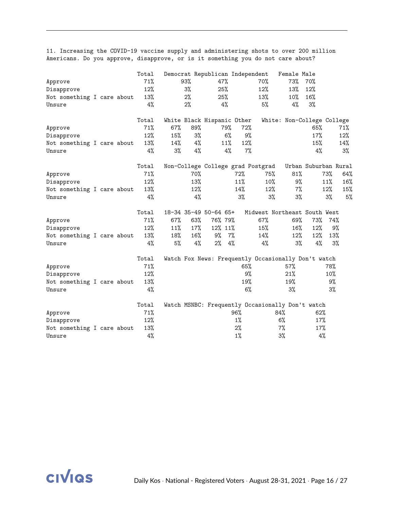11. Increasing the COVID-19 vaccine supply and administering shots to over 200 million Americans. Do you approve, disapprove, or is it something you do not care about?

|                            |  | Total |     |       | Democrat Republican Independent   |       |                                                     | Female Male                |                      |       |        |
|----------------------------|--|-------|-----|-------|-----------------------------------|-------|-----------------------------------------------------|----------------------------|----------------------|-------|--------|
| Approve                    |  | 71%   |     | 93%   | 47%                               |       | 70%                                                 | 73%                        | 70%                  |       |        |
| Disapprove                 |  | 12%   |     | 3%    | 25%                               |       | 12%                                                 | 13%                        | 12%                  |       |        |
| Not something I care about |  | 13%   |     | 2%    | 25%                               |       | 13%                                                 | $10\%$                     | 16%                  |       |        |
| Unsure                     |  | 4%    |     | $2\%$ | 4%                                |       | 5%                                                  | 4%                         | 3%                   |       |        |
|                            |  | Total |     |       | White Black Hispanic Other        |       |                                                     | White: Non-College College |                      |       |        |
| Approve                    |  | 71%   | 67% | 89%   | 79%                               | 72%   |                                                     |                            | 65%                  |       | 71%    |
| Disapprove                 |  | 12%   | 15% | 3%    | 6%                                | 9%    |                                                     |                            | 17%                  |       | $12\%$ |
| Not something I care about |  | 13%   | 14% | 4%    | 11%                               | 12%   |                                                     |                            | 15%                  |       | 14%    |
| Unsure                     |  | 4%    | 3%  | 4%    | 4%                                | 7%    |                                                     |                            | 4%                   |       | $3\%$  |
|                            |  | Total |     |       | Non-College College grad Postgrad |       |                                                     |                            | Urban Suburban Rural |       |        |
| Approve                    |  | 71%   |     | 70%   |                                   | 72%   | 75%                                                 | 81%                        |                      | 73%   | 64%    |
| Disapprove                 |  | 12%   |     | 13%   |                                   | 11%   | $10\%$                                              | 9%                         |                      | 11%   | 16%    |
| Not something I care about |  | 13%   |     | 12%   |                                   | 14%   | 12%                                                 | 7%                         |                      | 12%   | 15%    |
| Unsure                     |  | 4%    |     | 4%    |                                   | 3%    | 3%                                                  | 3%                         |                      | 3%    | 5%     |
|                            |  | Total |     |       | 18-34 35-49 50-64 65+             |       | Midwest Northeast South West                        |                            |                      |       |        |
| Approve                    |  | 71%   | 67% | 63%   | 76% 79%                           |       | 67%                                                 | 69%                        | 73%                  | 74%   |        |
| Disapprove                 |  | 12%   | 11% | 17%   | 12% 11%                           |       | 15%                                                 | 16%                        | 12%                  | 9%    |        |
| Not something I care about |  | 13%   | 18% | 16%   | 9%<br>7%                          |       | 14%                                                 | 12%                        | $12\%$               | 13%   |        |
| Unsure                     |  | 4%    | 5%  | 4%    | 2%                                | 4%    | 4%                                                  | $3\%$                      | 4%                   | $3\%$ |        |
|                            |  | Total |     |       |                                   |       | Watch Fox News: Frequently Occasionally Don't watch |                            |                      |       |        |
| Approve                    |  | 71%   |     |       |                                   | 65%   |                                                     | 57%                        |                      | 78%   |        |
| Disapprove                 |  | 12%   |     |       |                                   | 9%    |                                                     | 21%                        |                      | 10%   |        |
| Not something I care about |  | 13%   |     |       |                                   | 19%   |                                                     | 19%                        |                      | 9%    |        |
| Unsure                     |  | 4%    |     |       |                                   | 6%    |                                                     | $3\%$                      |                      | 3%    |        |
|                            |  | Total |     |       |                                   |       | Watch MSNBC: Frequently Occasionally Don't watch    |                            |                      |       |        |
| Approve                    |  | 71%   |     |       |                                   | 96%   | 84%                                                 |                            | 62%                  |       |        |
| Disapprove                 |  | 12%   |     |       |                                   | $1\%$ |                                                     | 6%                         | 17%                  |       |        |
| Not something I care about |  | 13%   |     |       |                                   | $2\%$ |                                                     | $7\%$                      | 17%                  |       |        |
| Unsure                     |  | 4%    |     |       |                                   | $1\%$ |                                                     | 3%                         | 4%                   |       |        |

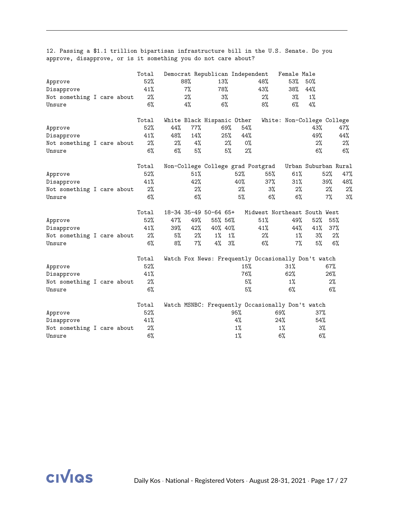|                            |  | Total |     |       | Democrat Republican Independent                     |       |       |       | Female Male                  |                      |       |     |
|----------------------------|--|-------|-----|-------|-----------------------------------------------------|-------|-------|-------|------------------------------|----------------------|-------|-----|
| Approve                    |  | 52%   |     | 88%   | 13%                                                 |       |       | 48%   | 53%                          | 50%                  |       |     |
| Disapprove                 |  | 41%   |     | 7%    | 78%                                                 |       |       | 43%   | 38%                          | 44%                  |       |     |
| Not something I care about |  | 2%    |     | 2%    |                                                     | 3%    |       | 2%    | 3%                           | $1\%$                |       |     |
| Unsure                     |  | 6%    |     | 4%    |                                                     | 6%    |       | 8%    | $6\%$                        | 4%                   |       |     |
|                            |  | Total |     |       | White Black Hispanic Other                          |       |       |       | White: Non-College College   |                      |       |     |
| Approve                    |  | 52%   | 44% | 77%   |                                                     | 69%   | 54%   |       |                              | 43%                  |       | 47% |
| Disapprove                 |  | 41%   | 48% | 14%   |                                                     | 25%   | 44%   |       |                              | 49%                  |       | 44% |
| Not something I care about |  | $2\%$ | 2%  | 4%    |                                                     | 2%    | $0\%$ |       |                              | 2%                   |       | 2%  |
| Unsure                     |  | $6\%$ | 6%  | 5%    |                                                     | 5%    | 2%    |       |                              | 6%                   |       | 6%  |
|                            |  | Total |     |       | Non-College College grad Postgrad                   |       |       |       |                              | Urban Suburban Rural |       |     |
| Approve                    |  | 52%   |     | 51%   |                                                     |       | 52%   | 55%   | 61%                          |                      | 52%   | 47% |
| Disapprove                 |  | 41%   |     | 42%   |                                                     |       | 40%   | 37%   | 31%                          |                      | 39%   | 48% |
| Not something I care about |  | 2%    |     | $2\%$ |                                                     |       | 2%    | $3\%$ | 2%                           |                      | $2\%$ | 2%  |
| Unsure                     |  | $6\%$ |     | 6%    |                                                     |       | 5%    | 6%    | 6%                           |                      | $7\%$ | 3%  |
|                            |  | Total |     |       | 18-34 35-49 50-64 65+                               |       |       |       | Midwest Northeast South West |                      |       |     |
| Approve                    |  | 52%   | 47% | 49%   | 55% 56%                                             |       |       | 51%   | 49%                          | 52%                  | 55%   |     |
| Disapprove                 |  | 41%   | 39% | 42%   | 40% 40%                                             |       |       | 41%   | 44%                          | 41%                  | 37%   |     |
| Not something I care about |  | $2\%$ | 5%  | 2%    | $1\%$                                               | $1\%$ |       | 2%    | $1\%$                        | $3\%$                | 2%    |     |
| Unsure                     |  | 6%    | 8%  | $7\%$ | 4%                                                  | 3%    |       | 6%    | 7%                           | 5%                   | 6%    |     |
|                            |  | Total |     |       | Watch Fox News: Frequently Occasionally Don't watch |       |       |       |                              |                      |       |     |
| Approve                    |  | 52%   |     |       |                                                     |       | 15%   |       | 31%                          |                      | 67%   |     |
| Disapprove                 |  | 41%   |     |       |                                                     |       | 76%   |       | 62%                          |                      | 26%   |     |
| Not something I care about |  | 2%    |     |       |                                                     |       | 5%    |       | 1%                           |                      | 2%    |     |
| Unsure                     |  | 6%    |     |       |                                                     |       | 5%    |       | 6%                           |                      | 6%    |     |
|                            |  | Total |     |       | Watch MSNBC: Frequently Occasionally Don't watch    |       |       |       |                              |                      |       |     |
| Approve                    |  | 52%   |     |       |                                                     | 95%   |       |       | 69%                          | 37%                  |       |     |
| Disapprove                 |  | 41%   |     |       |                                                     | 4%    |       |       | 24%                          | 54%                  |       |     |
| Not something I care about |  | 2%    |     |       |                                                     | 1%    |       |       | 1%                           | 3%                   |       |     |
| Unsure                     |  | 6%    |     |       |                                                     | $1\%$ |       |       | 6%                           | 6%                   |       |     |

12. Passing a \$1.1 trillion bipartisan infrastructure bill in the U.S. Senate. Do you approve, disapprove, or is it something you do not care about?

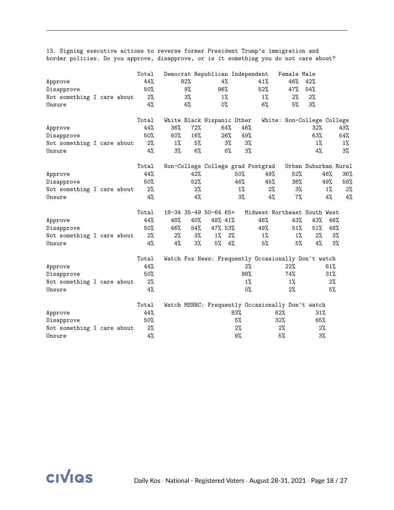13. Signing executive actions to reverse former President Trump's immigration and border policies. Do you approve, disapprove, or is it something you do not care about?

|                            |  | Total |       |       | Democrat Republican Independent |       |       |                                                     | Female Male                |                      |       |       |
|----------------------------|--|-------|-------|-------|---------------------------------|-------|-------|-----------------------------------------------------|----------------------------|----------------------|-------|-------|
| Approve                    |  | 44%   |       | 82%   |                                 | 4%    |       | 41%                                                 | 46%                        | 42%                  |       |       |
| Disapprove                 |  | 50%   |       | 9%    | 96%                             |       |       | 52%                                                 | 47%                        | 54%                  |       |       |
| Not something I care about |  | 2%    |       | 3%    |                                 | $1\%$ |       | $1\%$                                               | 2%                         | 2%                   |       |       |
| Unsure                     |  | 4%    |       | 6%    |                                 | 0%    |       | 6%                                                  | 5%                         | 3%                   |       |       |
|                            |  | Total |       |       | White Black Hispanic Other      |       |       |                                                     | White: Non-College College |                      |       |       |
| Approve                    |  | 44%   | 36%   | 72%   |                                 | 64%   | 46%   |                                                     |                            | 32%                  |       | 43%   |
| Disapprove                 |  | 50%   | 60%   | 16%   |                                 | 26%   | 49%   |                                                     |                            | 63%                  |       | 54%   |
| Not something I care about |  | $2\%$ | $1\%$ | 5%    |                                 | 3%    | 3%    |                                                     |                            | $1\%$                |       | $1\%$ |
| Unsure                     |  | 4%    | 3%    | 6%    |                                 | 6%    | 3%    |                                                     |                            | 4%                   |       | 3%    |
|                            |  | Total |       |       |                                 |       |       | Non-College College grad Postgrad                   |                            | Urban Suburban Rural |       |       |
| Approve                    |  | 44%   |       | 42%   |                                 |       | 50%   | 49%                                                 | 52%                        |                      | 46%   | 36%   |
| Disapprove                 |  | 50%   |       | 52%   |                                 |       | 46%   | 45%                                                 | 38%                        |                      | 49%   | 58%   |
| Not something I care about |  | 2%    |       | $2\%$ |                                 |       | 1%    | 2%                                                  | $3\%$                      |                      | $1\%$ | 2%    |
| Unsure                     |  | 4%    |       | 4%    |                                 |       | 3%    | 4%                                                  | 7%                         |                      | 4%    | 4%    |
|                            |  | Total |       |       | 18-34 35-49 50-64 65+           |       |       | Midwest Northeast South West                        |                            |                      |       |       |
| Approve                    |  | 44%   | 48%   | 40%   | 48% 41%                         |       |       | 46%                                                 | 43%                        | 43%                  | 46%   |       |
| Disapprove                 |  | 50%   | 46%   | 54%   | 47% 53%                         |       |       | 49%                                                 | 51%                        | 51%                  | 48%   |       |
| Not something I care about |  | 2%    | 2%    | 3%    | $1\%$                           | 2%    |       | $1\%$                                               | $1\%$                      | 2%                   | 3%    |       |
| Unsure                     |  | 4%    | 4%    | $3\%$ | 5%                              | 4%    |       | 5%                                                  | 5%                         | 4%                   | 3%    |       |
|                            |  | Total |       |       |                                 |       |       | Watch Fox News: Frequently Occasionally Don't watch |                            |                      |       |       |
| Approve                    |  | 44%   |       |       |                                 |       | $2\%$ |                                                     | 22%                        |                      | 61%   |       |
| Disapprove                 |  | 50%   |       |       |                                 |       | 98%   |                                                     | 74%                        |                      | 31%   |       |
| Not something I care about |  | 2%    |       |       |                                 |       | $1\%$ |                                                     | 1%                         |                      | 2%    |       |
| Unsure                     |  | 4%    |       |       |                                 |       | 0%    |                                                     | 2%                         |                      | 5%    |       |
|                            |  | Total |       |       |                                 |       |       | Watch MSNBC: Frequently Occasionally Don't watch    |                            |                      |       |       |
| Approve                    |  | 44%   |       |       |                                 |       | 83%   | 62%                                                 |                            | 31%                  |       |       |
| Disapprove                 |  | 50%   |       |       |                                 |       | 5%    | 32%                                                 |                            | 65%                  |       |       |
| Not something I care about |  | 2%    |       |       |                                 |       | $2\%$ |                                                     | 2%                         | 2%                   |       |       |
| Unsure                     |  | 4%    |       |       |                                 |       | 9%    |                                                     | 5%                         | 3%                   |       |       |

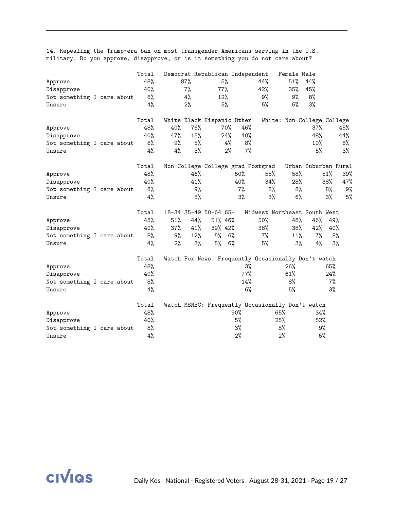|                            |  | Total |     |     | Democrat Republican Independent |        |       |                                   | Female Male                                         |                      |       |       |
|----------------------------|--|-------|-----|-----|---------------------------------|--------|-------|-----------------------------------|-----------------------------------------------------|----------------------|-------|-------|
| Approve                    |  | 48%   |     | 87% |                                 | 5%     |       | 44%                               | 51%                                                 | 44%                  |       |       |
| Disapprove                 |  | 40%   |     | 7%  | 77%                             |        |       | 42%                               | 35%                                                 | 45%                  |       |       |
| Not something I care about |  | 8%    |     | 4%  | 12%                             |        |       | 9%                                | 9%                                                  | 8%                   |       |       |
| Unsure                     |  | 4%    |     | 2%  |                                 | 5%     |       | 5%                                | 5%                                                  | $3\%$                |       |       |
|                            |  | Total |     |     | White Black Hispanic Other      |        |       |                                   | White: Non-College College                          |                      |       |       |
| Approve                    |  | 48%   | 40% | 76% |                                 | $70\%$ | 46%   |                                   |                                                     | 37%                  |       | 45%   |
| Disapprove                 |  | 40%   | 47% | 15% |                                 | 24%    | 40%   |                                   |                                                     | 48%                  |       | 44%   |
| Not something I care about |  | 8%    | 9%  | 5%  |                                 | 4%     | 8%    |                                   |                                                     | 10%                  |       | 8%    |
| Unsure                     |  | 4%    | 4%  | 3%  |                                 | 2%     | $7\%$ |                                   |                                                     | 5%                   |       | $3\%$ |
|                            |  | Total |     |     |                                 |        |       | Non-College College grad Postgrad |                                                     | Urban Suburban Rural |       |       |
| Approve                    |  | 48%   |     | 46% |                                 |        | 50%   | 55%                               | 58%                                                 |                      | 51%   | 39%   |
| Disapprove                 |  | 40%   |     | 41% |                                 |        | 40%   | 34%                               | 28%                                                 |                      | 38%   | 47%   |
| Not something I care about |  | 8%    |     | 9%  |                                 |        | 7%    | 8%                                | 8%                                                  |                      | 8%    | 9%    |
| Unsure                     |  | 4%    |     | 5%  |                                 |        | 3%    | 3%                                | 6%                                                  |                      | 3%    | 5%    |
|                            |  | Total |     |     | 18-34 35-49 50-64 65+           |        |       |                                   | Midwest Northeast South West                        |                      |       |       |
| Approve                    |  | 48%   | 51% | 44% | 51% 46%                         |        |       | 50%                               | 48%                                                 | 46%                  | 49%   |       |
| Disapprove                 |  | 40%   | 37% | 41% | 39% 42%                         |        |       | 38%                               | 38%                                                 | 42%                  | 40%   |       |
| Not something I care about |  | 8%    | 9%  | 12% | 5%                              | 6%     |       | $7\%$                             | 11%                                                 | 7%                   | 8%    |       |
| Unsure                     |  | 4%    | 2%  | 3%  | 5%                              | 6%     |       | 5%                                | 3%                                                  | 4%                   | 3%    |       |
|                            |  | Total |     |     |                                 |        |       |                                   | Watch Fox News: Frequently Occasionally Don't watch |                      |       |       |
| Approve                    |  | 48%   |     |     |                                 |        | 3%    |                                   | 26%                                                 |                      | 65%   |       |
| Disapprove                 |  | 40%   |     |     |                                 |        | 77%   |                                   | 61%                                                 |                      | 24%   |       |
| Not something I care about |  | 8%    |     |     |                                 |        | 14%   |                                   | 8%                                                  |                      | 7%    |       |
| Unsure                     |  | 4%    |     |     |                                 |        | 6%    |                                   | 5%                                                  |                      | $3\%$ |       |
|                            |  | Total |     |     |                                 |        |       |                                   | Watch MSNBC: Frequently Occasionally Don't watch    |                      |       |       |
| Approve                    |  | 48%   |     |     |                                 |        | 90%   |                                   | 65%                                                 | 34%                  |       |       |
| Disapprove                 |  | 40%   |     |     |                                 |        | 5%    |                                   | 25%                                                 | 52%                  |       |       |
| Not something I care about |  | 8%    |     |     |                                 |        | $3\%$ |                                   | 8%                                                  | 9%                   |       |       |
| Unsure                     |  | 4%    |     |     |                                 |        | 2%    |                                   | 2%                                                  | 5%                   |       |       |

14. Repealing the Trump-era ban on most transgender Americans serving in the U.S. military. Do you approve, disapprove, or is it something you do not care about?

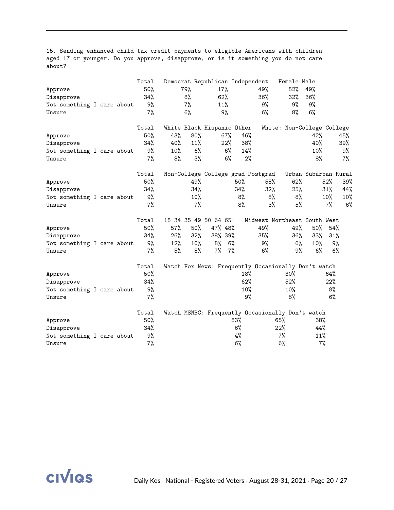15. Sending enhanced child tax credit payments to eligible Americans with children aged 17 or younger. Do you approve, disapprove, or is it something you do not care about?

|                            |  | Total |     |       | Democrat Republican Independent |              |                                                     | Female Male                |                      |       |       |
|----------------------------|--|-------|-----|-------|---------------------------------|--------------|-----------------------------------------------------|----------------------------|----------------------|-------|-------|
| Approve                    |  | 50%   |     | 79%   | 17%                             |              | 49%                                                 | 52%                        | 49%                  |       |       |
| Disapprove                 |  | 34%   |     | 8%    | 62%                             |              | 36%                                                 | 32%                        | 36%                  |       |       |
| Not something I care about |  | 9%    |     | 7%    | 11%                             |              | 9%                                                  | 9%                         | 9%                   |       |       |
| Unsure                     |  | 7%    |     | 6%    | 9%                              |              | 6%                                                  | 8%                         | 6%                   |       |       |
|                            |  | Total |     |       | White Black Hispanic Other      |              |                                                     | White: Non-College College |                      |       |       |
| Approve                    |  | 50%   | 43% | 80%   | $67\%$                          | 46%          |                                                     |                            | 42%                  |       | 45%   |
| Disapprove                 |  | 34%   | 40% | 11%   | 22%                             | 38%          |                                                     |                            | 40%                  |       | 39%   |
| Not something I care about |  | 9%    | 10% | 6%    |                                 | $6\%$<br>14% |                                                     |                            | 10%                  |       | 9%    |
| Unsure                     |  | $7\%$ | 8%  | 3%    |                                 | 6%           | $2\%$                                               |                            | 8%                   |       | $7\%$ |
|                            |  | Total |     |       |                                 |              | Non-College College grad Postgrad                   |                            | Urban Suburban Rural |       |       |
| Approve                    |  | 50%   |     | 49%   |                                 | 50%          | 58%                                                 | 62%                        |                      | 52%   | 39%   |
| Disapprove                 |  | 34%   |     | 34%   |                                 | 34%          | 32%                                                 | 25%                        |                      | 31%   | 44%   |
| Not something I care about |  | 9%    |     | 10%   |                                 | 8%           | 8%                                                  | 8%                         |                      | 10%   | 10%   |
| Unsure                     |  | 7%    |     | $7\%$ |                                 | 8%           | 3%                                                  | 5%                         |                      | $7\%$ | 6%    |
|                            |  | Total |     |       | 18-34 35-49 50-64 65+           |              | Midwest Northeast South West                        |                            |                      |       |       |
| Approve                    |  | 50%   | 57% | 50%   | 47% 48%                         |              | 49%                                                 | 49%                        | 50%                  | 54%   |       |
| Disapprove                 |  | 34%   | 26% | 32%   | 38% 39%                         |              | 35%                                                 | 36%                        | $33\%$               | 31%   |       |
| Not something I care about |  | 9%    | 12% | 10%   | 8%                              | 6%           | 9%                                                  | $6\%$                      | $10\%$               | 9%    |       |
| Unsure                     |  | 7%    | 5%  | 8%    | 7%                              | 7%           | 6%                                                  | 9%                         | $6\%$                | $6\%$ |       |
|                            |  | Total |     |       |                                 |              | Watch Fox News: Frequently Occasionally Don't watch |                            |                      |       |       |
| Approve                    |  | 50%   |     |       |                                 | 18%          |                                                     | $30\%$                     |                      | 64%   |       |
| Disapprove                 |  | 34%   |     |       |                                 | 62%          |                                                     | 52%                        |                      | 22%   |       |
| Not something I care about |  | 9%    |     |       |                                 | 10%          |                                                     | 10%                        |                      | 8%    |       |
| Unsure                     |  | 7%    |     |       |                                 |              | 9%                                                  | 8%                         |                      | 6%    |       |
|                            |  | Total |     |       |                                 |              | Watch MSNBC: Frequently Occasionally Don't watch    |                            |                      |       |       |
| Approve                    |  | 50%   |     |       |                                 | 83%          |                                                     | 65%                        | 38%                  |       |       |
| Disapprove                 |  | 34%   |     |       |                                 | $6\%$        |                                                     | 22%                        | 44%                  |       |       |
| Not something I care about |  | 9%    |     |       |                                 | $4\%$        |                                                     | 7%                         | 11%                  |       |       |
| Unsure                     |  | $7\%$ |     |       |                                 | 6%           |                                                     | 6%                         | 7%                   |       |       |

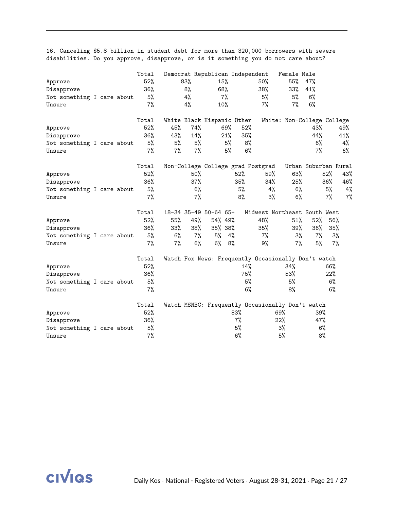16. Canceling \$5.8 billion in student debt for more than 320,000 borrowers with severe disabilities. Do you approve, disapprove, or is it something you do not care about?

|                            |  | Total |       |        | Democrat Republican Independent   |     |     |                                                     | Female Male                |                      |       |     |
|----------------------------|--|-------|-------|--------|-----------------------------------|-----|-----|-----------------------------------------------------|----------------------------|----------------------|-------|-----|
| Approve                    |  | 52%   |       | 83%    | 15%                               |     |     | $50\%$                                              | 55%                        | 47%                  |       |     |
| Disapprove                 |  | 36%   |       | 8%     | 68%                               |     |     | 38%                                                 | $33\%$                     | 41%                  |       |     |
| Not something I care about |  | 5%    |       | 4%     | 7%                                |     |     | 5%                                                  | 5%                         | 6%                   |       |     |
| Unsure                     |  | $7\%$ |       | 4%     | 10%                               |     |     | 7%                                                  | 7%                         | 6%                   |       |     |
|                            |  | Total |       |        | White Black Hispanic Other        |     |     |                                                     | White: Non-College College |                      |       |     |
| Approve                    |  | 52%   | 45%   | 74%    |                                   | 69% | 52% |                                                     |                            | 43%                  |       | 49% |
| Disapprove                 |  | 36%   | 43%   | 14%    |                                   | 21% | 35% |                                                     |                            | 44%                  |       | 41% |
| Not something I care about |  | 5%    | 5%    | 5%     |                                   | 5%  | 8%  |                                                     |                            | $6\%$                |       | 4%  |
| Unsure                     |  | 7%    | $7\%$ | $7\%$  |                                   | 5%  | 6%  |                                                     |                            | $7\%$                |       | 6%  |
|                            |  | Total |       |        | Non-College College grad Postgrad |     |     |                                                     |                            | Urban Suburban Rural |       |     |
| Approve                    |  | 52%   |       | $50\%$ |                                   |     | 52% | 59%                                                 | 63%                        |                      | 52%   | 43% |
| Disapprove                 |  | 36%   |       | 37%    |                                   |     | 35% | 34%                                                 | 25%                        |                      | 36%   | 46% |
| Not something I care about |  | 5%    |       | 6%     |                                   |     | 5%  | 4%                                                  | 6%                         |                      | 5%    | 4%  |
| Unsure                     |  | $7\%$ |       | $7\%$  |                                   |     | 8%  | 3%                                                  | 6%                         |                      | 7%    | 7%  |
|                            |  | Total |       |        | 18-34 35-49 50-64 65+             |     |     | Midwest Northeast South West                        |                            |                      |       |     |
| Approve                    |  | 52%   | 55%   | 49%    | 54% 49%                           |     |     | 48%                                                 | 51%                        | 52%                  | 56%   |     |
| Disapprove                 |  | 36%   | 33%   | 38%    | 35% 38%                           |     |     | 35%                                                 | 39%                        | $36\%$               | 35%   |     |
| Not something I care about |  | 5%    | 6%    | 7%     | 5%                                | 4%  |     | $7\%$                                               | 3%                         | 7%                   | 3%    |     |
| Unsure                     |  | $7\%$ | $7\%$ | $6\%$  | 6%                                | 8%  |     | 9%                                                  | 7%                         | 5%                   | $7\%$ |     |
|                            |  | Total |       |        |                                   |     |     | Watch Fox News: Frequently Occasionally Don't watch |                            |                      |       |     |
| Approve                    |  | 52%   |       |        |                                   |     | 14% |                                                     | 34%                        |                      | 66%   |     |
| Disapprove                 |  | 36%   |       |        |                                   |     | 75% |                                                     | 53%                        |                      | 22%   |     |
| Not something I care about |  | 5%    |       |        |                                   |     | 5%  |                                                     | 5%                         |                      | 6%    |     |
| Unsure                     |  | 7%    |       |        |                                   |     | 6%  |                                                     | 8%                         |                      | 6%    |     |
|                            |  | Total |       |        |                                   |     |     | Watch MSNBC: Frequently Occasionally Don't watch    |                            |                      |       |     |
| Approve                    |  | 52%   |       |        |                                   | 83% |     | 69%                                                 |                            | 39%                  |       |     |
| Disapprove                 |  | 36%   |       |        |                                   | 7%  |     | 22%                                                 |                            | 47%                  |       |     |
| Not something I care about |  | 5%    |       |        |                                   | 5%  |     |                                                     | $3\%$                      | 6%                   |       |     |
| Unsure                     |  | 7%    |       |        |                                   | 6%  |     |                                                     | 5%                         | 8%                   |       |     |

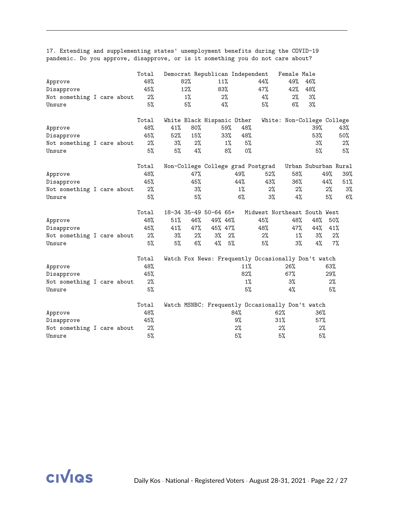| Approve<br>Disapprove<br>Not something I care about<br>Unsure |  | Total<br>48%<br>45%<br>2%<br>5%    |                        | 82%<br>12%<br>$1\%$<br>5% | Democrat Republican Independent<br>11%<br>83%           | 2%<br>4%                  |                           | 44%<br>47%<br>4%<br>5%                                         | Female Male<br>49%<br>42%<br>2%<br>$6\%$ | 46%<br>48%<br>3%<br>3% |                           |                        |
|---------------------------------------------------------------|--|------------------------------------|------------------------|---------------------------|---------------------------------------------------------|---------------------------|---------------------------|----------------------------------------------------------------|------------------------------------------|------------------------|---------------------------|------------------------|
| Approve<br>Disapprove<br>Not something I care about<br>Unsure |  | Total<br>48%<br>45%<br>2%<br>5%    | 41%<br>52%<br>3%<br>5% | 80%<br>15%<br>2%<br>4%    | White Black Hispanic Other                              | 59%<br>33%<br>$1\%$<br>8% | 48%<br>48%<br>5%<br>$0\%$ |                                                                | White: Non-College College               | 39%<br>53%<br>3%<br>5% |                           | 43%<br>50%<br>2%<br>5% |
| Approve<br>Disapprove<br>Not something I care about<br>Unsure |  | Total<br>48%<br>45%<br>$2\%$<br>5% |                        | 47%<br>45%<br>$3\%$<br>5% |                                                         |                           | 49%<br>44%<br>$1\%$<br>6% | Non-College College grad Postgrad<br>52%<br>43%<br>$2\%$<br>3% | 58%<br>36%<br>$2\%$<br>4%                | Urban Suburban Rural   | 49%<br>44%<br>$2\%$<br>5% | 39%<br>51%<br>3%<br>6% |
| Approve<br>Disapprove<br>Not something I care about<br>Unsure |  | Total<br>48%<br>45%<br>2%<br>5%    | 51%<br>41%<br>3%<br>5% | 46%<br>47%<br>2%<br>6%    | 18-34 35-49 50-64 65+<br>49% 46%<br>45% 47%<br>3%<br>4% | 2%<br>5%                  |                           | Midwest Northeast South West<br>45%<br>48%<br>2%<br>5%         | 48%<br>47%<br>$1\%$<br>3%                | 48%<br>44%<br>3%<br>4% | 50%<br>41%<br>2%<br>$7\%$ |                        |
| Approve<br>Disapprove<br>Not something I care about<br>Unsure |  | Total<br>48%<br>45%<br>2%<br>5%    |                        |                           |                                                         |                           | 11%<br>82%<br>1%<br>5%    | Watch Fox News: Frequently Occasionally Don't watch            | 26%<br>67%<br>3%<br>4%                   |                        | 63%<br>29%<br>2%<br>5%    |                        |
| Approve<br>Disapprove<br>Not something I care about<br>Unsure |  | Total<br>48%<br>45%<br>$2\%$<br>5% |                        |                           |                                                         | 84%                       | 9%<br>2%<br>5%            | Watch MSNBC: Frequently Occasionally Don't watch<br>62%<br>31% | $2\%$<br>5%                              | 36%<br>57%<br>2%<br>5% |                           |                        |

17. Extending and supplementing states' unemployment benefits during the COVID-19 pandemic. Do you approve, disapprove, or is it something you do not care about?

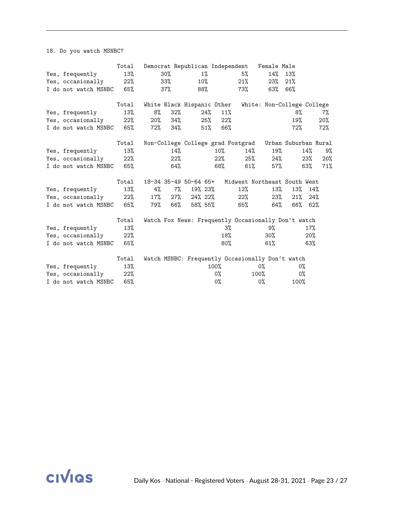18. Do you watch MSNBC?

|                          | Total |        |        |                            |        |        | Democrat Republican Independent Female Male            |                            |      |     |     |
|--------------------------|-------|--------|--------|----------------------------|--------|--------|--------------------------------------------------------|----------------------------|------|-----|-----|
| Yes, frequently          | 13%   |        | 30%    |                            | $1\%$  |        | 5%                                                     | 14%                        | 13%  |     |     |
| Yes, occasionally        | 22%   |        | $33\%$ | $10\%$                     |        |        | 21%                                                    | 23%                        | 21%  |     |     |
| I do not watch MSNBC     | 65%   |        | 37%    | 88%                        |        |        | 73%                                                    | 63%                        | 66%  |     |     |
|                          | Total |        |        | White Black Hispanic Other |        |        |                                                        | White: Non-College College |      |     |     |
| Yes, frequently          | 13%   | 8%     | 32%    |                            | 24%    | 11%    |                                                        |                            | 8%   |     | 7%  |
| Yes, occasionally        | 22%   | $20\%$ | 34%    |                            | 25%    | 22%    |                                                        |                            | 19%  |     | 20% |
| I do not watch MSNBC 65% |       | 72%    | 34%    |                            | $51\%$ | 66%    |                                                        |                            | 72%  |     | 72% |
|                          | Total |        |        |                            |        |        | Non-College College grad Postgrad Urban Suburban Rural |                            |      |     |     |
| Yes, frequently          | 13%   |        | 14%    |                            |        | $10\%$ | $14\%$                                                 | 19%                        |      | 14% | 9%  |
| Yes, occasionally        | 22%   |        | 22%    |                            |        | 22%    | 25%                                                    | $24\%$                     |      | 23% | 20% |
| I do not watch MSNBC     | 65%   |        | 64%    |                            |        | 68%    | 61%                                                    | 57%                        |      | 63% | 71% |
|                          | Total |        |        | 18-34 35-49 50-64 65+      |        |        | Midwest Northeast South West                           |                            |      |     |     |
| Yes, frequently          | 13%   | 4%     | $7\%$  | 19% 23%                    |        |        | 12%                                                    | 13%                        | 13%  | 14% |     |
| Yes, occasionally        | 22%   | $17\%$ | $27\%$ | 24% 22%                    |        |        | 22%                                                    | 23%                        | 21%  | 24% |     |
| I do not watch MSNBC     | 65%   | 79%    | 66%    | 58% 55%                    |        |        | 65%                                                    | 64%                        | 66%  | 62% |     |
|                          | Total |        |        |                            |        |        | Watch Fox News: Frequently Occasionally Don't watch    |                            |      |     |     |
| Yes, frequently          | 13%   |        |        |                            |        | 3%     |                                                        | 9%                         |      | 17% |     |
| Yes, occasionally        | 22%   |        |        |                            |        | 18%    |                                                        | $30\%$                     |      | 20% |     |
| I do not watch MSNBC     | 65%   |        |        |                            |        | $80\%$ |                                                        | 61%                        |      | 63% |     |
|                          | Total |        |        |                            |        |        | Watch MSNBC: Frequently Occasionally Don't watch       |                            |      |     |     |
| Yes, frequently          | 13%   |        |        |                            |        | 100%   |                                                        | 0%                         | 0%   |     |     |
| Yes, occasionally        | 22%   |        |        |                            |        | 0%     |                                                        | 100%                       | 0%   |     |     |
| I do not watch MSNBC     | 65%   |        |        |                            |        | 0%     |                                                        | $0\%$                      | 100% |     |     |

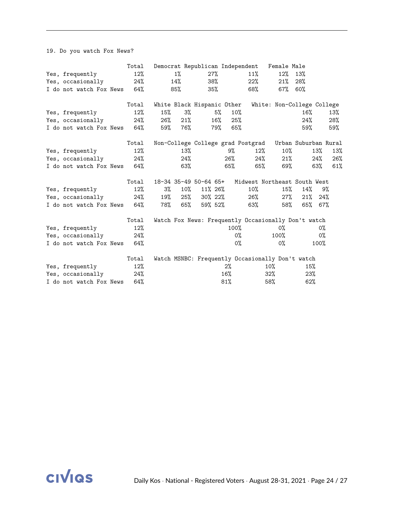19. Do you watch Fox News?

|                             | Total |     |        |                            |        |         | Democrat Republican Independent                     | Female Male                |                      |       |     |
|-----------------------------|-------|-----|--------|----------------------------|--------|---------|-----------------------------------------------------|----------------------------|----------------------|-------|-----|
| Yes, frequently             | 12%   |     | 1%     |                            | 27%    |         | 11%                                                 | $12\%$                     | 13%                  |       |     |
| Yes, occasionally           | 24%   |     | 14%    |                            | 38%    |         | 22%                                                 | 21%                        | 28%                  |       |     |
| I do not watch Fox News     | 64%   |     | 85%    |                            | $35\%$ |         | 68%                                                 | $67\%$                     | 60%                  |       |     |
|                             |       |     |        |                            |        |         |                                                     |                            |                      |       |     |
|                             | Total |     |        | White Black Hispanic Other |        |         |                                                     | White: Non-College College |                      |       |     |
| Yes, frequently             | 12%   | 15% | 3%     |                            | 5%     | 10%     |                                                     |                            | 16%                  |       | 13% |
| Yes, occasionally           | 24%   | 26% | 21%    |                            | 16%    | 25%     |                                                     |                            | 24%                  |       | 28% |
| I do not watch Fox News 64% |       | 59% | 76%    |                            | 79%    | 65%     |                                                     |                            | 59%                  |       | 59% |
|                             | Total |     |        |                            |        |         | Non-College College grad Postgrad                   |                            | Urban Suburban Rural |       |     |
| Yes, frequently             | 12%   |     | 13%    |                            |        | 9%      | $12\%$                                              | $10\%$                     |                      | 13%   | 13% |
| Yes, occasionally           | 24%   |     | 24%    |                            |        | 26%     | 24%                                                 | 21%                        |                      | 24%   | 26% |
| I do not watch Fox News     | 64%   |     | 63%    |                            |        | 65%     | 65%                                                 | 69%                        |                      | 63%   | 61% |
|                             |       |     |        |                            |        |         |                                                     |                            |                      |       |     |
|                             | Total |     |        | 18-34 35-49 50-64 65+      |        |         | Midwest Northeast South West                        |                            |                      |       |     |
| Yes, frequently             | 12%   | 3%  | $10\%$ | $11\%$ 26%                 |        |         | $10\%$                                              | 15%                        | 14%                  | 9%    |     |
| Yes, occasionally           | 24%   | 19% | 25%    | 30% 22%                    |        |         | 26%                                                 | $27\%$                     | 21%                  | 24%   |     |
| I do not watch Fox News     | 64%   | 78% | 65%    | 59% 52%                    |        |         | 63%                                                 | 58%                        | 65%                  | 67%   |     |
|                             | Total |     |        |                            |        |         | Watch Fox News: Frequently Occasionally Don't watch |                            |                      |       |     |
| Yes, frequently             | 12%   |     |        |                            |        | $100\%$ |                                                     | 0%                         |                      | 0%    |     |
| Yes, occasionally           | 24%   |     |        |                            |        |         | 0%                                                  | $100\%$                    |                      | $0\%$ |     |
| I do not watch Fox News     | 64%   |     |        |                            |        |         | 0%                                                  | $0\%$                      |                      | 100%  |     |
|                             |       |     |        |                            |        |         |                                                     |                            |                      |       |     |
|                             | Total |     |        |                            |        |         | Watch MSNBC: Frequently Occasionally Don't watch    |                            |                      |       |     |
| Yes, frequently             | 12%   |     |        |                            |        | 2%      |                                                     | $10\%$                     | 15%                  |       |     |
| Yes, occasionally           | 24%   |     |        |                            |        | 16%     |                                                     | $32\%$                     | 23%                  |       |     |
| I do not watch Fox News     | 64%   |     |        |                            |        | 81%     |                                                     | 58%                        | 62%                  |       |     |

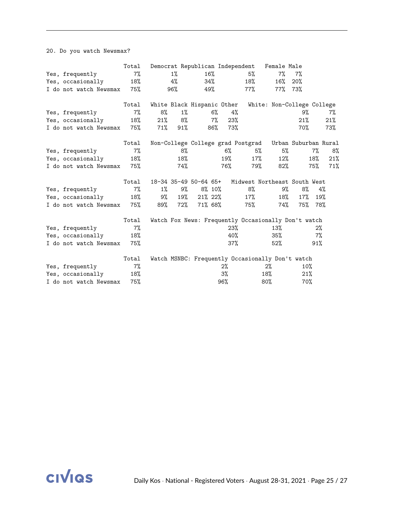20. Do you watch Newsmax?

|                        | Total |        |       | Democrat Republican Independent |       |                                                        | Female Male                |        |       |     |
|------------------------|-------|--------|-------|---------------------------------|-------|--------------------------------------------------------|----------------------------|--------|-------|-----|
| Yes, frequently        | 7%    |        | $1\%$ | 16%                             |       | 5%                                                     | 7%                         | 7%     |       |     |
| Yes, occasionally      | 18%   |        | 4%    | 34%                             |       | 18%                                                    | 16%                        | 20%    |       |     |
| I do not watch Newsmax | 75%   |        | 96%   | 49%                             |       | 77%                                                    | 77%                        | 73%    |       |     |
|                        | Total |        |       | White Black Hispanic Other      |       |                                                        | White: Non-College College |        |       |     |
| Yes, frequently        | $7\%$ | 8%     | 1%    | 6%                              |       | 4%                                                     |                            | 9%     |       | 7%  |
| Yes, occasionally      | 18%   | 21%    | 8%    | 7%                              |       | 23%                                                    |                            | 21%    |       | 21% |
| I do not watch Newsmax | 75%   | $71\%$ | 91%   | 86%                             | 73%   |                                                        |                            | 70%    |       | 73% |
|                        | Total |        |       |                                 |       | Non-College College grad Postgrad Urban Suburban Rural |                            |        |       |     |
| Yes, frequently        | 7%    |        | 8%    |                                 | $6\%$ | 5%                                                     | 5%                         |        | $7\%$ | 8%  |
| Yes, occasionally      | 18%   |        | 18%   |                                 | 19%   | 17%                                                    | 12%                        |        | 18%   | 21% |
| I do not watch Newsmax | 75%   |        | 74%   |                                 | 76%   | 79%                                                    | 82%                        |        | 75%   | 71% |
|                        | Total |        |       | 18-34 35-49 50-64 65+           |       | Midwest Northeast South West                           |                            |        |       |     |
| Yes, frequently        | $7\%$ | $1\%$  | 9%    | $8\%$ 10%                       |       | 8%                                                     | 9%                         | 8%     | 4%    |     |
| Yes, occasionally      | 18%   | 9%     | 19%   | $21\%$ 22%                      |       | 17%                                                    | 18%                        | $17\%$ | 19%   |     |
| I do not watch Newsmax | 75%   | 89%    | 72%   | 71% 68%                         |       | 75%                                                    | 74%                        | 75%    | 78%   |     |
|                        | Total |        |       |                                 |       | Watch Fox News: Frequently Occasionally Don't watch    |                            |        |       |     |
| Yes, frequently        | 7%    |        |       |                                 |       | 23%                                                    | 13%                        |        | 2%    |     |
| Yes, occasionally      | 18%   |        |       |                                 |       | 40%                                                    | 35%                        |        | $7\%$ |     |
| I do not watch Newsmax | 75%   |        |       |                                 |       | 37%                                                    | 52%                        |        | 91%   |     |
|                        | Total |        |       |                                 |       | Watch MSNBC: Frequently Occasionally Don't watch       |                            |        |       |     |
| Yes, frequently        | $7\%$ |        |       |                                 | 2%    |                                                        | $2\%$                      | 10%    |       |     |
| Yes, occasionally      | 18%   |        |       |                                 | 3%    |                                                        | 18%                        | 21%    |       |     |
| I do not watch Newsmax | 75%   |        |       |                                 | 96%   |                                                        | $80\%$                     | 70%    |       |     |

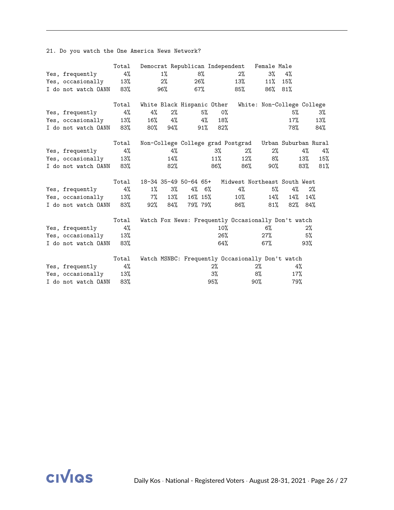21. Do you watch the One America News Network?

|                         | Total |       |       | Democrat Republican Independent |        |        |                                                        | Female Male                |        |        |     |
|-------------------------|-------|-------|-------|---------------------------------|--------|--------|--------------------------------------------------------|----------------------------|--------|--------|-----|
| Yes, frequently         | 4%    |       | $1\%$ |                                 | 8%     |        | 2%                                                     | $3\%$                      | 4%     |        |     |
| Yes, occasionally       | 13%   |       | 2%    |                                 | 26%    |        | 13%                                                    | 11%                        | 15%    |        |     |
| I do not watch OANN 83% |       |       | 96%   |                                 | 67%    |        | 85%                                                    | 86%                        | 81%    |        |     |
|                         | Total |       |       | White Black Hispanic Other      |        |        |                                                        | White: Non-College College |        |        |     |
| Yes, frequently         | 4%    | 4%    | $2\%$ |                                 | 5%     | $0\%$  |                                                        |                            | 5%     |        | 3%  |
| Yes, occasionally       | 13%   | 16%   | 4%    |                                 | 4%     | 18%    |                                                        |                            | 17%    |        | 13% |
| I do not watch OANN     | 83%   | 80%   | 94%   |                                 | $91\%$ | $82\%$ |                                                        |                            | 78%    |        | 84% |
|                         | Total |       |       |                                 |        |        | Non-College College grad Postgrad Urban Suburban Rural |                            |        |        |     |
| Yes, frequently         | $4\%$ |       | 4%    |                                 |        | $3\%$  | 2%                                                     | 2%                         |        | 4%     | 4%  |
| Yes, occasionally       | 13%   |       | 14%   |                                 |        | 11%    | $12\%$                                                 | 8%                         |        | $13\%$ | 15% |
| I do not watch OANN 83% |       |       | 82%   |                                 |        | 86%    | 86%                                                    |                            | 90%    | 83%    | 81% |
|                         | Total |       |       | 18-34 35-49 50-64 65+           |        |        | Midwest Northeast South West                           |                            |        |        |     |
| Yes, frequently         | 4%    | $1\%$ | 3%    | 4% 6%                           |        |        | 4%                                                     | 5%                         | 4%     | 2%     |     |
| Yes, occasionally       | 13%   | 7%    | 13%   | 16% 15%                         |        |        | $10\%$                                                 | 14%                        | 14%    | 14%    |     |
| I do not watch OANN     | 83%   | 92%   | 84%   | 79% 79%                         |        |        | 86%                                                    | $81\%$                     | $82\%$ | 84%    |     |
|                         | Total |       |       |                                 |        |        | Watch Fox News: Frequently Occasionally Don't watch    |                            |        |        |     |
| Yes, frequently         | 4%    |       |       |                                 |        | 10%    |                                                        | $6\%$                      |        | $2\%$  |     |
| Yes, occasionally       | 13%   |       |       |                                 |        | 26%    |                                                        | $27\%$                     |        | 5%     |     |
| I do not watch OANN     | 83%   |       |       |                                 |        | 64%    |                                                        | $67\%$                     |        | 93%    |     |
|                         | Total |       |       |                                 |        |        | Watch MSNBC: Frequently Occasionally Don't watch       |                            |        |        |     |
| Yes, frequently         | 4%    |       |       |                                 |        | $2\%$  |                                                        | $2\%$                      | 4%     |        |     |
| Yes, occasionally       | 13%   |       |       |                                 |        | 3%     |                                                        | 8%                         | 17%    |        |     |
| I do not watch OANN     | 83%   |       |       |                                 |        | 95%    |                                                        | 90%                        | 79%    |        |     |